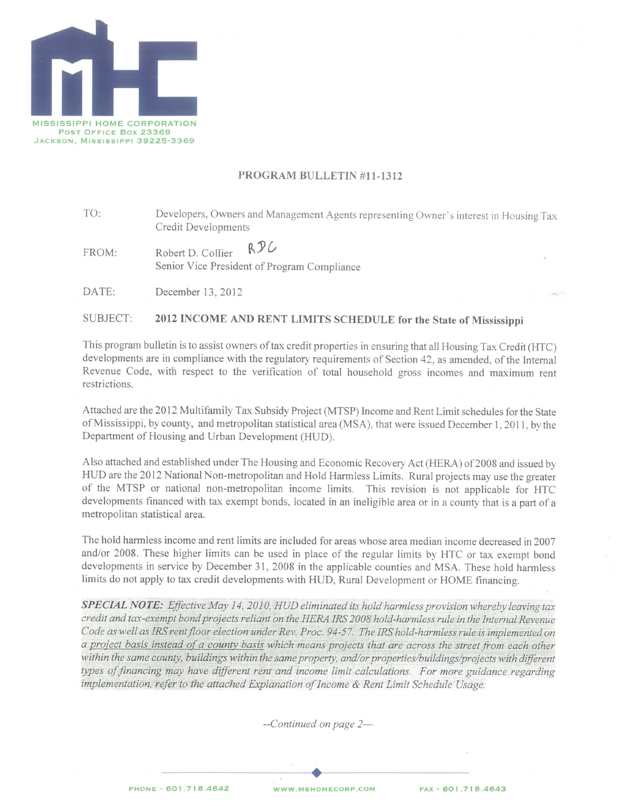

# PROGRAM BULLETIN #11-1312

- TO: Developers, Owners and Management Agents representing Owner's interest in Housing Tax Credit Developments
- RDC FROM: Robert D. Collier Senior Vice President of Program Compliance
- DATE: December 13, 2012

#### SUBJECT: 2012 INCOME AND RENT LIMITS SCHEDULE for the State of Mississippi

This program bulletin is to assist owners of tax credit properties in ensuring that all Housing Tax Credit (HTC) developments are in compliance with the regulatory requirements of Section 42, as amended, of the Internal Revenue Code, with respect to the verification of total household gross incomes and maximum rent restrictions.

Attached are the 2012 Multifamily Tax Subsidy Project (MTSP) Income and Rent Limit schedules for the State of Mississippi, by county, and metropolitan statistical area (MSA), that were issued December 1, 2011, by the Department of Housing and Urban Development (HUD).

Also attached and established under The Housing and Economic Recovery Act (HERA) of 2008 and issued by HUD are the 2012 National Non-metropolitan and Hold Harmless Limits. Rural projects may use the greater of the MTSP or national non-metropolitan income limits. This revision is not applicable for HTC developments financed with tax exempt bonds, located in an ineligible area or in a county that is a part of a metropolitan statistical area.

The hold harmless income and rent limits are included for areas whose area median income decreased in 2007 and/or 2008. These higher limits can be used in place of the regular limits by HTC or tax exempt bond developments in service by December 31, 2008 in the applicable counties and MSA. These hold harmless limits do not apply to tax credit developments with HUD, Rural Development or HOME financing.

**SPECIAL NOTE:** Effective May 14, 2010, HUD eliminated its hold harmless provision whereby leaving tax credit and tax-exempt bond projects reliant on the HERA IRS 2008 hold-harmless rule in the Internal Revenue Code as well as IRS rent floor election under Rev. Proc. 94-57. The IRS hold-harmless rule is implemented on a project basis instead of a county basis which means projects that are across the street from each other within the same county, buildings within the same property, and/or properties/buildings/projects with different types of financing may have different rent and income limit calculations. For more guidance regarding implementation, refer to the attached Explanation of Income & Rent Limit Schedule Usage.

 $-$ Continued on page 2 $-$ 

PHONE - 601.718.4642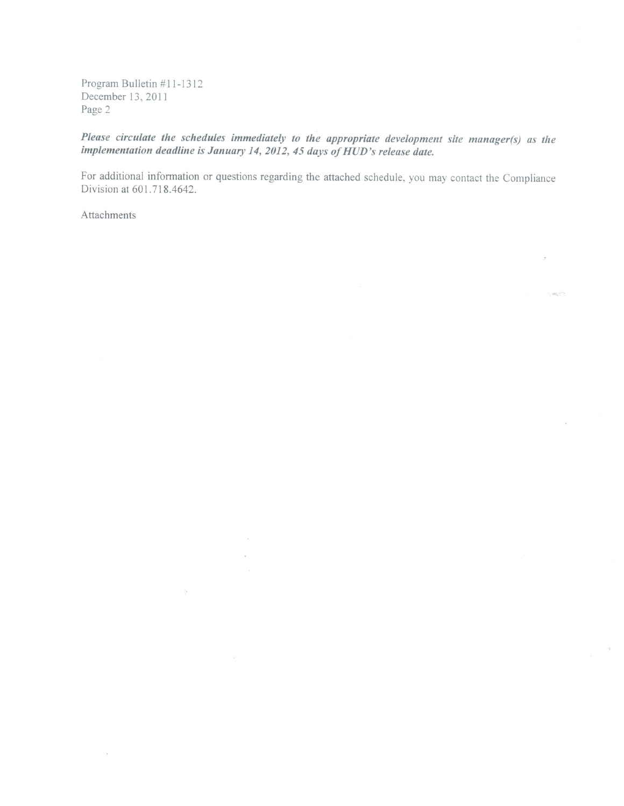Program Bulletin #11-1312 December 13, 2011 Page 2

Please circulate the schedules immediately to the appropriate development site manager(s) as the implementation deadline is January 14, 2012, 45 days of HUD's release date.

For additional information or questions regarding the attached schedule, you may contact the Compliance Division at 601.718.4642.

 $\sim$ 

 $\frac{1}{2}$ 

 $\sim 10^{10}$ 

Attachments

 $\lambda$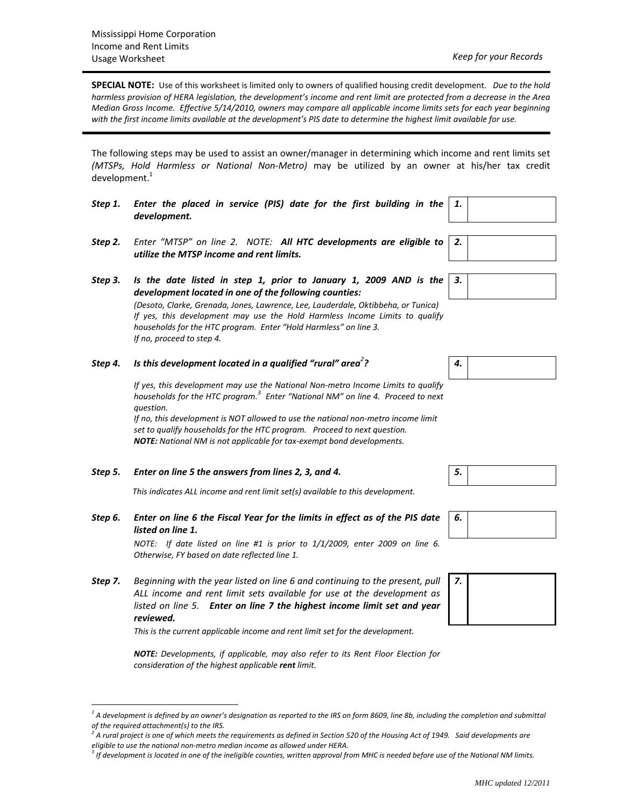**SPECIAL NOTE:** Use of this worksheet is limited only to owners of qualified housing credit development. *Due to the hold* harmless provision of HERA legislation, the development's income and rent limit are protected from a decrease in the Area Median Gross Income. Effective 5/14/2010, owners may compare all applicable income limits sets for each year beginning with the first income limits available at the development's PIS date to determine the highest limit available for use.

The following steps may be used to assist an owner/manager in determining which income and rent limits set *(MTSPs, Hold Harmless or National Non‐Metro)* may be utilized by an owner at his/her tax credit development.<sup>1</sup>

- *Step 1. Enter the placed in service (PIS) date for the first building in the development.*
- *Step 2. Enter "MTSP" on line 2. NOTE: All HTC developments are eligible to utilize the MTSP income and rent limits.*
- *Step 3. Is the date listed in step 1, prior to January 1, 2009 AND is the development located in one of the following counties: (Desoto, Clarke, Grenada, Jones, Lawrence, Lee, Lauderdale, Oktibbeha, or Tunica) If yes, this development may use the Hold Harmless Income Limits to qualify households for the HTC program. Enter "Hold Harmless" on line 3.*

*If no, proceed to step 4.* 

 $\overline{a}$ 

## *Step 4. Is this development located in a qualified "rural" area<sup>2</sup>*

*If yes, this development may use the National Non‐metro Income Limits to qualify households for the HTC program.<sup>3</sup> Enter "National NM" on line 4. Proceed to next question.*

*If no, this development is NOT allowed to use the national non‐metro income limit set to qualify households for the HTC program. Proceed to next question. NOTE: National NM is not applicable for tax‐exempt bond developments.*

*Step 5. Enter on line 5 the answers from lines 2, 3, and 4. 5.*

 *This indicates ALL income and rent limit set(s) available to this development.* 

*Step 6. Enter on line 6 the Fiscal Year for the limits in effect as of the PIS date listed on line 1.*

> *NOTE: If date listed on line #1 is prior to 1/1/2009, enter 2009 on line 6. Otherwise, FY based on date reflected line 1.*

*Step 7. Beginning with the year listed on line 6 and continuing to the present, pull ALL income and rent limit sets available for use at the development as listed on line 5. Enter on line 7 the highest income limit set and year*  $reviewed.$ 

*This is the current applicable income and rent limit set for the development.*

*NOTE: Developments, if applicable, may also refer to its Rent Floor Election for consideration of the highest applicable rent limit.*

*1.*

*2.*

*3.*

|--|





 $^1$  A development is defined by an owner's designation as reported to the IRS on form 8609, line 8b, including the completion and submittal *of the required attachment(s) to the IRS.* 

 $^2$  A rural project is one of which meets the requirements as defined in Section 520 of the Housing Act of 1949. Said developments are *eligible to use the national non‐metro median income as allowed under HERA.*

 $^3$  If development is located in one of the ineligible counties, written approval from MHC is needed before use of the National NM limits.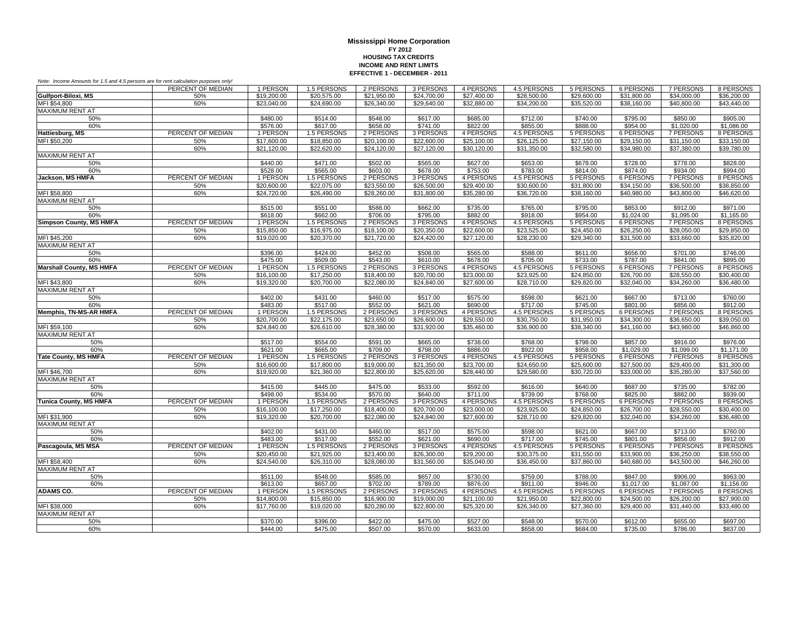| Note: Income Amounts for 1.5 and 4.5 persons are for rent calculation purposes only! |                   |             |             |             |             |             |             |             |                  |                  |             |
|--------------------------------------------------------------------------------------|-------------------|-------------|-------------|-------------|-------------|-------------|-------------|-------------|------------------|------------------|-------------|
|                                                                                      | PERCENT OF MEDIAN | 1 PERSON    | 1.5 PERSONS | 2 PERSONS   | 3 PERSONS   | 4 PERSONS   | 4.5 PERSONS | 5 PERSONS   | 6 PERSONS        | 7 PERSONS        | 8 PERSONS   |
| Gulfport-Biloxi, MS                                                                  | 50%               | \$19,200.00 | \$20,575.00 | \$21.950.00 | \$24,700.00 | \$27,400.00 | \$28,500.00 | \$29,600.00 | \$31,800.00      | \$34,000.00      | \$36,200.00 |
| MFI \$54,800                                                                         | 60%               | \$23,040.00 | \$24,690.00 | \$26,340.00 | \$29,640.00 | \$32,880.00 | \$34,200.00 | \$35,520.00 | \$38,160.00      | \$40,800.00      | \$43,440.00 |
| <b>MAXIMUM RENT AT</b>                                                               |                   |             |             |             |             |             |             |             |                  |                  |             |
| 50%                                                                                  |                   | \$480.00    | \$514.00    | \$548.00    | \$617.00    | \$685.00    | \$712.00    | \$740.00    | \$795.00         | \$850.00         | \$905.00    |
| 60%                                                                                  |                   | \$576.00    | \$617.00    | \$658.00    | \$741.00    | \$822.00    | \$855.00    | \$888.00    | \$954.00         | \$1,020.00       | \$1,086.00  |
| Hattiesburg, MS                                                                      | PERCENT OF MEDIAN | 1 PERSON    | 1.5 PERSONS | 2 PERSONS   | 3 PERSONS   | 4 PERSONS   | 4.5 PERSONS | 5 PERSONS   | 6 PERSONS        | <b>7 PERSONS</b> | 8 PERSONS   |
| MFI \$50,200                                                                         | 50%               | \$17,600.00 | \$18,850.00 | \$20,100.00 | \$22,600.00 | \$25,100.00 | \$26,125.00 | \$27,150.00 | \$29,150.00      | \$31,150.00      | \$33,150.00 |
|                                                                                      | 60%               | \$21,120.00 | \$22,620.00 | \$24,120.00 | \$27,120.00 | \$30,120.00 | \$31,350.00 | \$32,580.00 | \$34,980.00      | \$37,380.00      | \$39,780.00 |
| MAXIMUM RENT AT                                                                      |                   |             |             |             |             |             |             |             |                  |                  |             |
| 50%                                                                                  |                   | \$440.00    | \$471.00    | \$502.00    | \$565.00    | \$627.00    | \$653.00    | \$678.00    | \$728.00         | \$778.00         | \$828.00    |
| 60%                                                                                  |                   | \$528.00    | \$565.00    | \$603.00    | \$678.00    | \$753.00    | \$783.00    | \$814.00    | \$874.00         | \$934.00         | \$994.00    |
| Jackson, MS HMFA                                                                     | PERCENT OF MEDIAN | 1 PERSON    | 1.5 PERSONS | 2 PERSONS   | 3 PERSONS   | 4 PERSONS   | 4.5 PERSONS | 5 PERSONS   | 6 PERSONS        | 7 PERSONS        | 8 PERSONS   |
|                                                                                      | 50%               | \$20,600.00 | \$22,075.00 | \$23,550.00 | \$26,500.00 | \$29,400.00 | \$30,600.00 | \$31,800.00 | \$34,150.00      | \$36,500.00      | \$38,850.00 |
| MFI \$58,800                                                                         | 60%               | \$24,720.00 | \$26,490.00 | \$28,260.00 | \$31,800.00 | \$35,280.00 | \$36,720.00 | \$38,160.00 | \$40,980.00      | \$43,800.00      | \$46,620.00 |
| <b>MAXIMUM RENT AT</b>                                                               |                   |             |             |             |             |             |             |             |                  |                  |             |
| 50%                                                                                  |                   | \$515.00    | \$551.00    | \$588.00    | \$662.00    | \$735.00    | \$765.00    | \$795.00    | \$853.00         | \$912.00         | \$971.00    |
| 60%                                                                                  |                   | \$618.00    | \$662.00    | \$706.00    | \$795.00    | \$882.00    | \$918.00    | \$954.00    | \$1,024.00       | \$1,095.00       | \$1,165.00  |
| <b>Simpson County, MS HMFA</b>                                                       | PERCENT OF MEDIAN | 1 PERSON    | 1.5 PERSONS | 2 PERSONS   | 3 PERSONS   | 4 PERSONS   | 4.5 PERSONS | 5 PERSONS   | 6 PERSONS        | 7 PERSONS        | 8 PERSONS   |
|                                                                                      |                   |             |             |             |             |             |             |             |                  |                  |             |
|                                                                                      | 50%               | \$15,850.00 | \$16,975.00 | \$18,100.00 | \$20,350.00 | \$22,600.00 | \$23,525.00 | \$24,450.00 | \$26,250.00      | \$28,050.00      | \$29,850.00 |
| MFI \$45,200                                                                         | 60%               | \$19,020.00 | \$20,370.00 | \$21,720.00 | \$24,420.00 | \$27,120.00 | \$28,230.00 | \$29,340.00 | \$31,500.00      | \$33,660.00      | \$35,820.00 |
| <b>MAXIMUM RENT AT</b>                                                               |                   |             |             |             |             |             |             |             |                  |                  |             |
| 50%                                                                                  |                   | \$396.00    | \$424.00    | \$452.00    | \$508.00    | \$565.00    | \$588.00    | \$611.00    | \$656.00         | \$701.00         | \$746.00    |
| 60%                                                                                  |                   | \$475.00    | \$509.00    | \$543.00    | \$610.00    | \$678.00    | \$705.00    | \$733.00    | \$787.00         | \$841.00         | \$895.00    |
| <b>Marshall County, MS HMFA</b>                                                      | PERCENT OF MEDIAN | 1 PERSON    | 1.5 PERSONS | 2 PERSONS   | 3 PERSONS   | 4 PERSONS   | 4.5 PERSONS | 5 PERSONS   | 6 PERSONS        | 7 PERSONS        | 8 PERSONS   |
|                                                                                      | 50%               | \$16,100.00 | \$17,250.00 | \$18,400.00 | \$20,700.00 | \$23,000.00 | \$23,925.00 | \$24,850.00 | \$26,700.00      | \$28,550.00      | \$30,400.00 |
| MFI \$43,800                                                                         | 60%               | \$19,320.00 | \$20,700.00 | \$22,080.00 | \$24,840.00 | \$27,600.00 | \$28,710.00 | \$29,820.00 | \$32,040.00      | \$34,260.00      | \$36,480.00 |
| <b>MAXIMUM RENT AT</b>                                                               |                   |             |             |             |             |             |             |             |                  |                  |             |
| 50%                                                                                  |                   | \$402.00    | \$431.00    | \$460.00    | \$517.00    | \$575.00    | \$598.00    | \$621.00    | \$667.00         | \$713.00         | \$760.00    |
| 60%                                                                                  |                   | \$483.00    | \$517.00    | \$552.00    | \$621.00    | \$690.00    | \$717.00    | \$745.00    | \$801.00         | \$856.00         | \$912.00    |
| <b>Memphis, TN-MS-AR HMFA</b>                                                        | PERCENT OF MEDIAN | 1 PERSON    | 1.5 PERSONS | 2 PERSONS   | 3 PERSONS   | 4 PERSONS   | 4.5 PERSONS | 5 PERSONS   | <b>6 PERSONS</b> | <b>7 PERSONS</b> | 8 PERSONS   |
|                                                                                      | 50%               | \$20,700.00 | \$22,175.00 | \$23,650.00 | \$26,600.00 | \$29,550.00 | \$30,750.00 | \$31,950.00 | \$34,300.00      | \$36,650.00      | \$39,050.00 |
| MFI \$59,100                                                                         | 60%               | \$24,840.00 | \$26,610.00 | \$28,380.00 | \$31,920.00 | \$35,460.00 | \$36,900.00 | \$38,340.00 | \$41,160.00      | \$43,980.00      | \$46,860.00 |
| <b>MAXIMUM RENT AT</b>                                                               |                   |             |             |             |             |             |             |             |                  |                  |             |
| 50%                                                                                  |                   | \$517.00    | \$554.00    | \$591.00    | \$665.00    | \$738.00    | \$768.00    | \$798.00    | \$857.00         | \$916.00         | \$976.00    |
| 60%                                                                                  |                   | \$621.00    | \$665.00    | \$709.00    | \$798.00    | \$886.00    | \$922.00    | \$958.00    | \$1,029.00       | \$1,099.00       | \$1,171.00  |
| <b>Tate County, MS HMFA</b>                                                          | PERCENT OF MEDIAN | 1 PERSON    | 1.5 PERSONS | 2 PERSONS   | 3 PERSONS   | 4 PERSONS   | 4.5 PERSONS | 5 PERSONS   | 6 PERSONS        | 7 PERSONS        | 8 PERSONS   |
|                                                                                      | 50%               | \$16,600.00 | \$17,800.00 | \$19,000.00 | \$21,350.00 | \$23,700.00 | \$24,650.00 | \$25,600.00 | \$27,500.00      | \$29,400.00      | \$31,300.00 |
| MFI \$46,700                                                                         | 60%               | \$19,920.00 | \$21,360.00 | \$22,800.00 | \$25,620.00 | \$28,440.00 | \$29,580.00 | \$30,720.00 | \$33,000.00      | \$35,280.00      | \$37,560.00 |
| <b>MAXIMUM RENT AT</b>                                                               |                   |             |             |             |             |             |             |             |                  |                  |             |
| 50%                                                                                  |                   | \$415.00    | \$445.00    | \$475.00    | \$533.00    | \$592.00    | \$616.00    | \$640.00    | \$687.00         | \$735.00         | \$782.00    |
| 60%                                                                                  |                   | \$498.00    | \$534.00    | \$570.00    | \$640.00    | \$711.00    | \$739.00    | \$768.00    | \$825.00         | \$882.00         | \$939.00    |
| <b>Tunica County, MS HMFA</b>                                                        | PERCENT OF MEDIAN | 1 PERSON    | 1.5 PERSONS | 2 PERSONS   | 3 PERSONS   | 4 PERSONS   | 4.5 PERSONS | 5 PERSONS   | 6 PERSONS        | 7 PERSONS        | 8 PERSONS   |
|                                                                                      | 50%               | \$16,100.00 | \$17,250.00 | \$18,400.00 | \$20,700.00 | \$23,000.00 | \$23,925.00 | \$24,850.00 | \$26,700.00      | \$28,550.00      | \$30,400.00 |
| MFI \$31.900                                                                         | 60%               | \$19,320.00 | \$20,700.00 | \$22,080.00 | \$24,840.00 | \$27,600.00 | \$28,710.00 | \$29,820.00 | \$32,040.00      | \$34,260.00      | \$36,480.00 |
| <b>MAXIMUM RENT AT</b>                                                               |                   |             |             |             |             |             |             |             |                  |                  |             |
| 50%                                                                                  |                   | \$402.00    | \$431.00    | \$460.00    | \$517.00    | \$575.00    | \$598.00    | \$621.00    | \$667.00         | \$713.00         | \$760.00    |
| 60%                                                                                  |                   | \$483.00    | \$517.00    | \$552.00    | \$621.00    | \$690.00    | \$717.00    | \$745.00    | \$801.00         | \$856.00         | \$912.00    |
| Pascagoula, MS MSA                                                                   | PERCENT OF MEDIAN | 1 PERSON    | 1.5 PERSONS | 2 PERSONS   | 3 PERSONS   | 4 PERSONS   | 4.5 PERSONS | 5 PERSONS   | 6 PERSONS        | 7 PERSONS        | 8 PERSONS   |
|                                                                                      | 50%               | \$20.450.00 | \$21,925.00 | \$23,400.00 | \$26,300.00 | \$29,200.00 | \$30,375.00 | \$31,550.00 | \$33,900.00      | \$36,250.00      | \$38,550.00 |
| MFI \$58,400                                                                         | 60%               | \$24,540.00 | \$26,310.00 | \$28,080.00 | \$31,560.00 | \$35,040.00 | \$36,450.00 | \$37,860.00 | \$40,680.00      | \$43,500.00      | \$46,260.00 |
| MAXIMUM RENT AT                                                                      |                   |             |             |             |             |             |             |             |                  |                  |             |
| 50%                                                                                  |                   | \$511.00    | \$548.00    | \$585.00    | \$657.00    | \$730.00    | \$759.00    | \$788.00    | \$847.00         | \$906.00         | \$963.00    |
| 60%                                                                                  |                   | \$613.00    | \$657.00    | \$702.00    | \$789.00    | \$876.00    | \$911.00    | \$946.00    | \$1,017.00       | \$1.087.00       | \$1.156.00  |
| <b>ADAMS CO.</b>                                                                     | PERCENT OF MEDIAN | 1 PERSON    | 1.5 PERSONS | 2 PERSONS   | 3 PERSONS   | 4 PERSONS   | 4.5 PERSONS | 5 PERSONS   | 6 PERSONS        | 7 PERSONS        | 8 PERSONS   |
|                                                                                      | 50%               | \$14,800.00 | \$15,850.00 | \$16,900.00 | \$19,000.00 | \$21,100.00 | \$21,950.00 | \$22,800.00 | \$24,500.00      | \$26,200.00      | \$27,900.00 |
| MFI \$38,000                                                                         | 60%               | \$17,760.00 | \$19,020.00 | \$20,280.00 | \$22,800.00 | \$25,320.00 | \$26,340.00 | \$27,360.00 | \$29,400.00      | \$31,440.00      | \$33,480.00 |
| MAXIMUM RENT AT                                                                      |                   |             |             |             |             |             |             |             |                  |                  |             |
| 50%                                                                                  |                   | \$370.00    | \$396.00    | \$422.00    | \$475.00    | \$527.00    | \$548.00    | \$570.00    | \$612.00         | \$655.00         | \$697.00    |
| 60%                                                                                  |                   | \$444.00    | \$475.00    | \$507.00    | \$570.00    | \$633.00    | \$658.00    | \$684.00    | \$735.00         | \$786.00         | \$837.00    |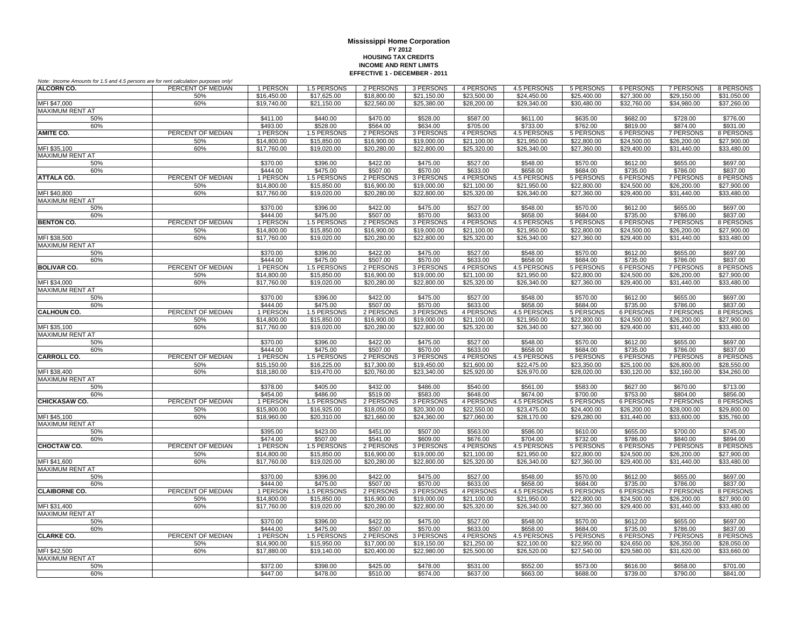| Note: Income Amounts for 1.5 and 4.5 persons are for rent calculation purposes only! |                   |                            |                            |                            |                            |                                        |                            |                            |                            |                            |                            |
|--------------------------------------------------------------------------------------|-------------------|----------------------------|----------------------------|----------------------------|----------------------------|----------------------------------------|----------------------------|----------------------------|----------------------------|----------------------------|----------------------------|
| <b>ALCORN CO.</b>                                                                    | PERCENT OF MEDIAN | 1 PERSON                   | 1.5 PERSONS                | 2 PERSONS                  | 3 PERSONS                  | 4 PERSONS                              | 4.5 PERSONS                | 5 PERSONS                  | 6 PERSONS                  | 7 PERSONS                  | 8 PERSONS                  |
|                                                                                      | 50%               | \$16,450.00                | \$17,625.00                | \$18,800.00                | \$21.150.00                | \$23,500.00                            | \$24,450.00                | \$25,400.00                | \$27,300.00                | \$29.150.00                | \$31.050.00                |
| MFI \$47,000                                                                         | 60%               | \$19,740.00                | \$21,150.00                | \$22,560.00                | \$25,380.00                | \$28,200.00                            | \$29,340.00                | \$30,480.00                | \$32,760.00                | \$34,980.00                | \$37,260.00                |
| MAXIMUM RENT AT                                                                      |                   |                            |                            |                            |                            |                                        |                            |                            |                            |                            |                            |
| 50%                                                                                  |                   | \$411.00                   | \$440.00                   | \$470.00                   | \$528.00                   | \$587.00                               | \$611.00                   | \$635.00                   | \$682.00                   | \$728.00                   | \$776.00                   |
| 60%                                                                                  |                   | \$493.00                   | \$528.00                   | \$564.00                   | \$634.00                   | \$705.00                               | \$733.00                   | \$762.00                   | \$819.00                   | \$874.00                   | \$931.00                   |
| <b>AMITE CO.</b>                                                                     | PERCENT OF MEDIAN | 1 PERSON                   | 1.5 PERSONS                | 2 PERSONS                  | 3 PERSONS                  | 4 PERSONS                              | 4.5 PERSONS                | 5 PERSONS                  | <b>6 PERSONS</b>           | 7 PERSONS                  | 8 PERSONS                  |
| MFI \$35,100                                                                         | 50%<br>60%        | \$14,800.00<br>\$17,760.00 | \$15,850.00<br>\$19,020.00 | \$16,900.00<br>\$20,280.00 | \$19,000.00<br>\$22,800.00 | $\overline{$21,100.00}$<br>\$25,320.00 | \$21,950.00<br>\$26,340.00 | \$22,800.00<br>\$27,360.00 | \$24,500.00<br>\$29,400.00 | \$26,200.00<br>\$31,440.00 | \$27,900.00<br>\$33,480.00 |
| <b>MAXIMUM RENT AT</b>                                                               |                   |                            |                            |                            |                            |                                        |                            |                            |                            |                            |                            |
| 50%                                                                                  |                   | \$370.00                   | \$396.00                   | \$422.00                   | \$475.00                   | \$527.00                               | \$548.00                   | \$570.00                   | \$612.00                   | \$655.00                   | \$697.00                   |
| 60%                                                                                  |                   | \$444.00                   | \$475.00                   | \$507.00                   | \$570.00                   | \$633.00                               | \$658.00                   | \$684.00                   | \$735.00                   | \$786.00                   | \$837.00                   |
| <b>ATTALA CO.</b>                                                                    | PERCENT OF MEDIAN | 1 PERSON                   | 1.5 PERSONS                | 2 PERSONS                  | 3 PERSONS                  | 4 PERSONS                              | 4.5 PERSONS                | 5 PERSONS                  | <b>6 PERSONS</b>           | <b>7 PERSONS</b>           | 8 PERSONS                  |
|                                                                                      | 50%               | \$14,800.00                | \$15,850.00                | \$16,900.00                | \$19,000.00                | \$21,100.00                            | \$21,950.00                | \$22,800.00                | \$24,500.00                | \$26,200.00                | \$27,900.00                |
| MFI \$40,800                                                                         | 60%               | \$17,760.00                | \$19,020.00                | \$20,280.00                | \$22,800.00                | \$25,320.00                            | \$26,340.00                | \$27,360.00                | \$29,400.00                | \$31,440.00                | \$33,480.00                |
| MAXIMUM RENT AT                                                                      |                   |                            |                            |                            |                            |                                        |                            |                            |                            |                            |                            |
| 50%                                                                                  |                   | \$370.00                   | \$396.00                   | \$422.00                   | \$475.00                   | \$527.00                               | \$548.00                   | \$570.00                   | \$612.00                   | \$655.00                   | \$697.00                   |
| 60%                                                                                  |                   | \$444.00                   | \$475.00                   | \$507.00                   | \$570.00                   | \$633.00                               | \$658.00                   | \$684.00                   | \$735.00                   | \$786.00                   | \$837.00                   |
| <b>BENTON CO.</b>                                                                    | PERCENT OF MEDIAN | 1 PERSON                   | 1.5 PERSONS                | 2 PERSONS                  | 3 PERSONS                  | 4 PERSONS                              | 4.5 PERSONS                | 5 PERSONS                  | <b>6 PERSONS</b>           | 7 PERSONS                  | 8 PERSONS                  |
|                                                                                      | 50%               | \$14,800.00                | \$15,850.00                | \$16,900.00                | \$19,000.00                | \$21,100.00                            | \$21.950.00                | \$22,800.00                | \$24,500.00                | \$26,200.00                | \$27,900.00                |
| MFI \$38,500                                                                         | 60%               | \$17,760.00                | \$19,020.00                | \$20,280.00                | \$22,800.00                | \$25,320.00                            | \$26,340.00                | \$27,360.00                | \$29,400.00                | \$31,440.00                | \$33,480.00                |
| <b>MAXIMUM RENT AT</b>                                                               |                   |                            |                            |                            |                            |                                        |                            |                            |                            |                            |                            |
| 50%                                                                                  |                   | \$370.00<br>\$444.00       | \$396.00<br>\$475.00       | \$422.00<br>\$507.00       | \$475.00<br>\$570.00       | \$527.00<br>\$633.00                   | \$548.00<br>\$658.00       | \$570.00<br>\$684.00       | \$612.00<br>\$735.00       | \$655.00                   | \$697.00<br>\$837.00       |
| 60%<br><b>BOLIVAR CO.</b>                                                            | PERCENT OF MEDIAN | 1 PERSON                   | 1.5 PERSONS                | 2 PERSONS                  | 3 PERSONS                  | 4 PERSONS                              | 4.5 PERSONS                | 5 PERSONS                  | 6 PERSONS                  | \$786.00<br>7 PERSONS      | 8 PERSONS                  |
|                                                                                      | 50%               | \$14,800.00                | \$15,850.00                | \$16,900.00                | \$19,000.00                | \$21,100.00                            | \$21,950.00                | \$22,800.00                | \$24,500.00                | \$26,200.00                | \$27,900.00                |
| MFI \$34.000                                                                         | 60%               | \$17,760.00                | \$19,020,00                | \$20,280.00                | \$22,800.00                | \$25,320.00                            | \$26,340.00                | \$27,360.00                | \$29,400.00                | \$31,440.00                | \$33,480.00                |
| <b>MAXIMUM RENT AT</b>                                                               |                   |                            |                            |                            |                            |                                        |                            |                            |                            |                            |                            |
| 50%                                                                                  |                   | \$370.00                   | \$396.00                   | \$422.00                   | \$475.00                   | \$527.00                               | \$548.00                   | \$570.00                   | \$612.00                   | \$655.00                   | \$697.00                   |
| 60%                                                                                  |                   | \$444.00                   | \$475.00                   | \$507.00                   | \$570.00                   | \$633.00                               | \$658.00                   | \$684.00                   | \$735.00                   | \$786.00                   | \$837.00                   |
| <b>CALHOUN CO.</b>                                                                   | PERCENT OF MEDIAN | 1 PERSON                   | 1.5 PERSONS                | 2 PERSONS                  | 3 PERSONS                  | 4 PERSONS                              | 4.5 PERSONS                | 5 PERSONS                  | <b>6 PERSONS</b>           | <b>7 PERSONS</b>           | 8 PERSONS                  |
|                                                                                      | 50%               | \$14,800.00                | \$15,850.00                | \$16,900.00                | \$19,000.00                | \$21,100.00                            | \$21,950.00                | \$22,800.00                | \$24,500.00                | \$26,200.00                | \$27,900.00                |
| MFI \$35,100                                                                         | 60%               | \$17,760.00                | \$19,020.00                | \$20,280.00                | \$22,800.00                | \$25,320.00                            | \$26,340.00                | \$27,360.00                | \$29,400.00                | \$31,440.00                | \$33,480.00                |
| <b>MAXIMUM RENT AT</b>                                                               |                   |                            |                            |                            |                            |                                        |                            |                            |                            |                            |                            |
| 50%                                                                                  |                   | \$370.00                   | \$396.00                   | \$422.00                   | \$475.00                   | \$527.00                               | \$548.00                   | \$570.00                   | \$612.00                   | \$655.00                   | \$697.00                   |
| 60%                                                                                  |                   | \$444.00                   | \$475.00                   | \$507.00                   | \$570.00                   | \$633.00                               | \$658.00                   | \$684.00                   | \$735.00                   | \$786.00                   | \$837.00                   |
| <b>CARROLL CO.</b>                                                                   | PERCENT OF MEDIAN | 1 PERSON                   | 1.5 PERSONS                | 2 PERSONS                  | 3 PERSONS                  | 4 PERSONS                              | 4.5 PERSONS                | 5 PERSONS                  | <b>6 PERSONS</b>           | 7 PERSONS                  | 8 PERSONS                  |
|                                                                                      | 50%               | \$15,150.00                | \$16,225.00                | \$17,300.00                | \$19,450.00                | \$21,600.00                            | \$22,475.00                | \$23,350.00                | \$25,100.00                | \$26,800.00                | \$28,550.00                |
| MFI \$38,400<br><b>MAXIMUM RENT AT</b>                                               | 60%               | \$18,180.00                | \$19,470.00                | \$20,760.00                | \$23,340.00                | \$25,920.00                            | \$26,970.00                | \$28,020.00                | \$30,120.00                | \$32,160.00                | \$34,260.00                |
| 50%                                                                                  |                   | \$378.00                   | \$405.00                   | \$432.00                   | \$486.00                   | \$540.00                               | \$561.00                   | \$583.00                   | \$627.00                   | \$670.00                   | \$713.00                   |
| 60%                                                                                  |                   | \$454.00                   | \$486.00                   | \$519.00                   | \$583.00                   | \$648.00                               | \$674.00                   | \$700.00                   | \$753.00                   | \$804.00                   | \$856.00                   |
| <b>CHICKASAW CO.</b>                                                                 | PERCENT OF MEDIAN | 1 PERSON                   | 1.5 PERSONS                | 2 PERSONS                  | 3 PERSONS                  | 4 PERSONS                              | 4.5 PERSONS                | 5 PERSONS                  | 6 PERSONS                  | <b>7 PERSONS</b>           | 8 PERSONS                  |
|                                                                                      | 50%               | \$15,800.00                | \$16,925.00                | \$18,050.00                | \$20,300.00                | \$22,550.00                            | \$23,475.00                | \$24,400.00                | \$26,200.00                | \$28,000.00                | \$29,800.00                |
| MFI \$45.100                                                                         | 60%               | \$18,960.00                | \$20,310.00                | \$21,660.00                | \$24,360.00                | \$27,060.00                            | \$28,170.00                | \$29,280.00                | \$31,440.00                | \$33,600.00                | \$35,760.00                |
| <b>MAXIMUM RENT AT</b>                                                               |                   |                            |                            |                            |                            |                                        |                            |                            |                            |                            |                            |
| 50%                                                                                  |                   | \$395.00                   | \$423.00                   | \$451.00                   | \$507.00                   | \$563.00                               | \$586.00                   | \$610.00                   | \$655.00                   | \$700.00                   | \$745.00                   |
| 60%                                                                                  |                   | \$474.00                   | \$507.00                   | \$541.00                   | \$609.00                   | \$676.00                               | \$704.00                   | \$732.00                   | \$786.00                   | \$840.00                   | \$894.00                   |
| CHOCTAW CO.                                                                          | PERCENT OF MEDIAN | 1 PERSON                   | 1.5 PERSONS                | 2 PERSONS                  | 3 PERSONS                  | 4 PERSONS                              | 4.5 PERSONS                | 5 PERSONS                  | 6 PERSONS                  | <b>7 PERSONS</b>           | 8 PERSONS                  |
|                                                                                      | 50%               | \$14,800.00                | \$15,850.00                | \$16,900.00                | \$19,000.00                | \$21,100.00                            | \$21,950.00                | \$22,800.00                | \$24,500.00                | \$26,200.00                | \$27,900.00                |
| MFI \$41,600                                                                         | 60%               | \$17,760.00                | \$19,020.00                | \$20,280.00                | \$22,800.00                | \$25,320.00                            | \$26,340.00                | \$27,360.00                | \$29,400.00                | \$31,440.00                | \$33,480.00                |
| <b>MAXIMUM RENT AT</b>                                                               |                   |                            | \$396.00                   | \$422.00                   | \$475.00                   | \$527.00                               | \$548.00                   | \$570.00                   | \$612.00                   | \$655.00                   | \$697.00                   |
| 50%<br>60%                                                                           |                   | \$370.00<br>\$444.00       | \$475.00                   | \$507.00                   | \$570.00                   | \$633.00                               | \$658.00                   | \$684.00                   | \$735.00                   | \$786.00                   | \$837.00                   |
| <b>CLAIBORNE CO.</b>                                                                 | PERCENT OF MEDIAN | 1 PERSON                   | 1.5 PERSONS                | 2 PERSONS                  | 3 PERSONS                  | 4 PERSONS                              | 4.5 PERSONS                | 5 PERSONS                  | <b>6 PERSONS</b>           | 7 PERSONS                  | 8 PERSONS                  |
|                                                                                      | 50%               | \$14,800.00                | \$15,850.00                | \$16,900.00                | \$19,000.00                | \$21,100.00                            | \$21.950.00                | \$22,800.00                | \$24,500.00                | \$26,200.00                | \$27.900.00                |
| MFI \$31,400                                                                         | 60%               | \$17,760.00                | \$19,020,00                | \$20,280.00                | \$22,800.00                | \$25,320.00                            | \$26.340.00                | \$27,360.00                | \$29,400.00                | \$31,440.00                | \$33,480.00                |
| MAXIMUM RENT AT                                                                      |                   |                            |                            |                            |                            |                                        |                            |                            |                            |                            |                            |
| 50%                                                                                  |                   | \$370.00                   | \$396.00                   | \$422.00                   | \$475.00                   | \$527.00                               | \$548.00                   | \$570.00                   | \$612.00                   | \$655.00                   | \$697.00                   |
| 60%                                                                                  |                   | \$444.00                   | \$475.00                   | \$507.00                   | \$570.00                   | \$633.00                               | \$658.00                   | \$684.00                   | \$735.00                   | \$786.00                   | \$837.00                   |
| <b>CLARKE CO.</b>                                                                    | PERCENT OF MEDIAN | 1 PERSON                   | 1.5 PERSONS                | 2 PERSONS                  | 3 PERSONS                  | 4 PERSONS                              | 4.5 PERSONS                | 5 PERSONS                  | <b>6 PERSONS</b>           | <b>7 PERSONS</b>           | 8 PERSONS                  |
|                                                                                      | 50%               | \$14,900.00                | \$15,950.00                | \$17,000.00                | \$19,150.00                | \$21,250.00                            | \$22,100.00                | \$22,950.00                | \$24,650.00                | \$26,350.00                | \$28,050.00                |
| MFI \$42,500                                                                         | 60%               | \$17,880.00                | \$19,140.00                | \$20,400.00                | \$22,980.00                | \$25,500.00                            | \$26,520.00                | \$27,540.00                | \$29,580.00                | \$31,620.00                | \$33,660.00                |
| <b>MAXIMUM RENT AT</b>                                                               |                   |                            |                            |                            |                            |                                        |                            |                            |                            |                            |                            |
| 50%                                                                                  |                   | \$372.00                   | \$398.00                   | \$425.00                   | \$478.00                   | \$531.00                               | \$552.00                   | \$573.00                   | \$616.00                   | \$658.00                   | \$701.00                   |
| 60%                                                                                  |                   | \$447.00                   | \$478.00                   | \$510.00                   | \$574.00                   | \$637.00                               | \$663.00                   | \$688.00                   | \$739.00                   | \$790.00                   | \$841.00                   |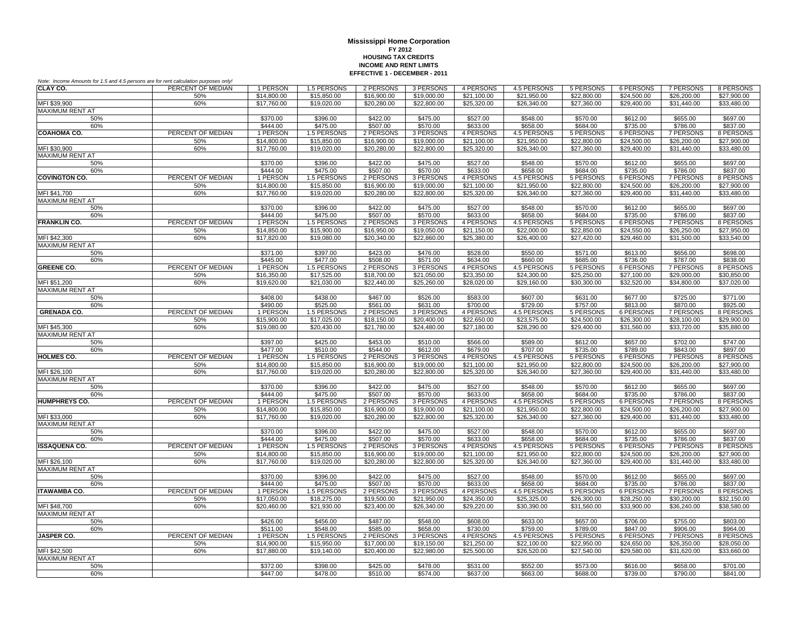| Note: Income Amounts for 1.5 and 4.5 persons are for rent calculation purposes only! |                   |                      |                                |                            |             |                            |                         |                  |                            |                              |             |
|--------------------------------------------------------------------------------------|-------------------|----------------------|--------------------------------|----------------------------|-------------|----------------------------|-------------------------|------------------|----------------------------|------------------------------|-------------|
| CLAY CO.                                                                             | PERCENT OF MEDIAN | 1 PERSON             | 1.5 PERSONS                    | 2 PERSONS                  | 3 PERSONS   | 4 PERSONS                  | 4.5 PERSONS             | 5 PERSONS        | 6 PERSONS                  | 7 PERSONS                    | 8 PERSONS   |
|                                                                                      | 50%               | \$14,800.00          | \$15,850.00                    | \$16,900.00                | \$19,000.00 | \$21.100.00                | \$21.950.00             | \$22,800.00      | \$24,500.00                | \$26,200.00                  | \$27,900.00 |
| MFI \$39,900                                                                         | 60%               | \$17,760.00          | \$19,020.00                    | \$20,280.00                | \$22,800.00 | \$25,320.00                | \$26,340.00             | \$27,360.00      | \$29,400.00                | \$31,440.00                  | \$33,480.00 |
| MAXIMUM RENT AT                                                                      |                   |                      |                                |                            |             |                            |                         |                  |                            |                              |             |
| 50%                                                                                  |                   | \$370.00             | \$396.00                       | \$422.00                   | \$475.00    | \$527.00                   | \$548.00                | \$570.00         | \$612.00                   | \$655.00                     | \$697.00    |
| 60%                                                                                  |                   | \$444.00             | \$475.00                       | \$507.00                   | \$570.00    | \$633.00                   | \$658.00                | \$684.00         | \$735.00                   | \$786.00                     | \$837.00    |
| <b>COAHOMA CO.</b>                                                                   | PERCENT OF MEDIAN | 1 PERSON             | 1.5 PERSONS                    | 2 PERSONS                  | 3 PERSONS   | 4 PERSONS                  | 4.5 PERSONS             | 5 PERSONS        | 6 PERSONS                  | 7 PERSONS                    | 8 PERSONS   |
|                                                                                      | 50%               | \$14,800.00          | \$15,850.00                    | \$16,900.00                | \$19,000.00 | \$21,100.00                | \$21,950.00             | \$22,800.00      | \$24,500.00                | \$26,200.00                  | \$27,900.00 |
| MFI \$30,900                                                                         | 60%               | \$17,760.00          | \$19,020.00                    | \$20,280.00                | \$22,800.00 | \$25,320.00                | \$26,340.00             | \$27,360.00      | \$29,400.00                | \$31,440.00                  | \$33,480.00 |
| <b>MAXIMUM RENT AT</b>                                                               |                   |                      |                                |                            |             |                            |                         |                  |                            |                              |             |
| 50%                                                                                  |                   | \$370.00             | \$396.00                       | \$422.00                   | \$475.00    | \$527.00                   | \$548.00                | \$570.00         | \$612.00                   | \$655.00                     | \$697.00    |
| 60%                                                                                  |                   | \$444.00             | \$475.00                       | \$507.00                   | \$570.00    | \$633.00                   | \$658.00                | \$684.00         | \$735.00                   | \$786.00                     | \$837.00    |
| <b>COVINGTON CO.</b>                                                                 | PERCENT OF MEDIAN | 1 PERSON             | 1.5 PERSONS                    | 2 PERSONS                  | 3 PERSONS   | 4 PERSONS                  | 4.5 PERSONS             | 5 PERSONS        | <b>6 PERSONS</b>           | <b>7 PERSONS</b>             | 8 PERSONS   |
|                                                                                      | 50%               | \$14,800.00          | \$15,850.00                    | \$16,900.00                | \$19,000.00 | \$21,100.00                | \$21,950.00             | \$22,800.00      | \$24,500.00                | \$26,200.00                  | \$27,900.00 |
| MFI \$41.700                                                                         | 60%               | \$17,760.00          | \$19,020,00                    | \$20,280.00                | \$22,800.00 | \$25,320,00                | \$26,340.00             | \$27,360.00      | \$29,400.00                | \$31,440.00                  | \$33,480.00 |
| MAXIMUM RENT AT                                                                      |                   |                      |                                |                            |             |                            |                         |                  |                            |                              |             |
| 50%                                                                                  |                   | \$370.00             | \$396.00                       | \$422.00                   | \$475.00    | \$527.00                   | \$548.00                | \$570.00         | \$612.00                   | \$655.00                     | \$697.00    |
| 60%<br><b>FRANKLIN CO.</b>                                                           | PERCENT OF MEDIAN | \$444.00<br>1 PERSON | \$475.00<br><b>1.5 PERSONS</b> | \$507.00<br>2 PERSONS      | \$570.00    | \$633.00                   | \$658.00<br>4.5 PERSONS | \$684.00         | \$735.00                   | \$786.00<br><b>7 PERSONS</b> | \$837.00    |
|                                                                                      |                   |                      |                                |                            | 3 PERSONS   | 4 PERSONS                  |                         | 5 PERSONS        | 6 PERSONS                  |                              | 8 PERSONS   |
|                                                                                      | 50%               | \$14,850.00          | \$15,900.00                    | \$16,950.00<br>\$20,340.00 | \$19,050.00 | \$21.150.00<br>\$25,380.00 | \$22,000.00             | \$22,850.00      | \$24,550.00<br>\$29,460.00 | \$26,250.00<br>\$31,500.00   | \$27.950.00 |
| MFI \$42,300<br><b>MAXIMUM RENT AT</b>                                               | 60%               | \$17,820.00          | \$19,080.00                    |                            | \$22,860.00 |                            | \$26,400.00             | \$27,420.00      |                            |                              | \$33,540.00 |
|                                                                                      |                   | \$371.00             | \$397.00                       | \$423.00                   | \$476.00    | \$528.00                   | \$550.00                | \$571.00         |                            |                              | \$698.00    |
| 50%<br>60%                                                                           |                   | \$445.00             | \$477.00                       | \$508.00                   | \$571.00    | \$634.00                   | \$660.00                | \$685.00         | \$613.00<br>\$736.00       | \$656.00<br>\$787.00         | \$838.00    |
| <b>GREENE CO.</b>                                                                    | PERCENT OF MEDIAN | 1 PERSON             | 1.5 PERSONS                    | 2 PERSONS                  | 3 PERSONS   | 4 PERSONS                  | 4.5 PERSONS             | 5 PERSONS        | 6 PERSONS                  | 7 PERSONS                    | 8 PERSONS   |
|                                                                                      | 50%               | \$16,350.00          | \$17,525.00                    | \$18,700.00                | \$21,050.00 | \$23,350.00                | \$24,300.00             | \$25,250.00      | \$27,100.00                | \$29,000.00                  | \$30,850.00 |
| MFI \$51,200                                                                         | 60%               | \$19,620.00          | \$21,030.00                    | \$22,440.00                | \$25,260.00 | \$28,020.00                | \$29,160.00             | \$30,300.00      | \$32,520.00                | \$34,800.00                  | \$37,020.00 |
| MAXIMUM RENT AT                                                                      |                   |                      |                                |                            |             |                            |                         |                  |                            |                              |             |
| 50%                                                                                  |                   | \$408.00             | \$438.00                       | \$467.00                   | \$526.00    | \$583.00                   | \$607.00                | \$631.00         | \$677.00                   | \$725.00                     | \$771.00    |
| 60%                                                                                  |                   | \$490.00             | \$525.00                       | \$561.00                   | \$631.00    | \$700.00                   | \$729.00                | \$757.00         | \$813.00                   | \$870.00                     | \$925.00    |
| <b>GRENADA CO.</b>                                                                   | PERCENT OF MEDIAN | 1 PERSON             | 1.5 PERSONS                    | 2 PERSONS                  | 3 PERSONS   | 4 PERSONS                  | 4.5 PERSONS             | 5 PERSONS        | 6 PERSONS                  | 7 PERSONS                    | 8 PERSONS   |
|                                                                                      | 50%               | \$15,900.00          | \$17,025.00                    | \$18,150.00                | \$20,400.00 | \$22,650.00                | \$23,575.00             | \$24,500.00      | \$26,300.00                | \$28,100.00                  | \$29,900.00 |
| MFI \$45,300                                                                         | 60%               | \$19,080.00          | \$20,430.00                    | \$21,780.00                | \$24,480.00 | \$27,180.00                | \$28,290.00             | \$29,400.00      | \$31,560.00                | \$33,720.00                  | \$35,880.00 |
| <b>MAXIMUM RENT AT</b>                                                               |                   |                      |                                |                            |             |                            |                         |                  |                            |                              |             |
| 50%                                                                                  |                   | \$397.00             | \$425.00                       | \$453.00                   | \$510.00    | \$566.00                   | \$589.00                | \$612.00         | \$657.00                   | \$702.00                     | \$747.00    |
| 60%                                                                                  |                   | \$477.00             | \$510.00                       | \$544.00                   | \$612.00    | \$679.00                   | \$707.00                | \$735.00         | \$789.00                   | \$843.00                     | \$897.00    |
| <b>HOLMES CO.</b>                                                                    | PERCENT OF MEDIAN | 1 PERSON             | 1.5 PERSONS                    | 2 PERSONS                  | 3 PERSONS   | 4 PERSONS                  | <b>4.5 PERSONS</b>      | <b>5 PERSONS</b> | <b>6 PERSONS</b>           | <b>7 PERSONS</b>             | 8 PERSONS   |
|                                                                                      | 50%               | \$14,800.00          | \$15,850.00                    | \$16,900.00                | \$19,000.00 | \$21,100.00                | \$21,950.00             | \$22,800.00      | \$24,500.00                | \$26,200.00                  | \$27,900.00 |
| MFI \$26,100                                                                         | 60%               | \$17,760.00          | \$19,020,00                    | \$20,280.00                | \$22,800.00 | \$25,320.00                | \$26,340.00             | \$27,360.00      | \$29,400.00                | \$31.440.00                  | \$33,480.00 |
| <b>MAXIMUM RENT AT</b>                                                               |                   |                      |                                |                            |             |                            |                         |                  |                            |                              |             |
| 50%                                                                                  |                   | \$370.00             | \$396.00                       | \$422.00                   | \$475.00    | \$527.00                   | \$548.00                | \$570.00         | \$612.00                   | \$655.00                     | \$697.00    |
| 60%                                                                                  |                   | \$444.00             | \$475.00                       | \$507.00                   | \$570.00    | \$633.00                   | \$658.00                | \$684.00         | \$735.00                   | \$786.00                     | \$837.00    |
| <b>HUMPHREYS CO.</b>                                                                 | PERCENT OF MEDIAN | 1 PERSON             | 1.5 PERSONS                    | 2 PERSONS                  | 3 PERSONS   | 4 PERSONS                  | 4.5 PERSONS             | 5 PERSONS        | 6 PERSONS                  | 7 PERSONS                    | 8 PERSONS   |
|                                                                                      | 50%               | \$14,800.00          | \$15,850.00                    | \$16,900.00                | \$19,000.00 | \$21,100.00                | \$21,950.00             | \$22,800.00      | \$24,500.00                | \$26,200.00                  | \$27,900.00 |
| MFI \$33,000                                                                         | 60%               | \$17,760.00          | \$19,020.00                    | \$20,280.00                | \$22,800.00 | \$25,320.00                | \$26,340.00             | \$27,360.00      | \$29,400.00                | \$31,440.00                  | \$33,480.00 |
| <b>MAXIMUM RENT AT</b>                                                               |                   |                      |                                |                            |             |                            |                         |                  |                            |                              |             |
| 50%                                                                                  |                   | \$370.00             | \$396.00                       | \$422.00                   | \$475.00    | \$527.00                   | \$548.00                | \$570.00         | \$612.00                   | \$655.00                     | \$697.00    |
| 60%                                                                                  |                   | \$444.00             | \$475.00                       | \$507.00                   | \$570.00    | \$633.00                   | \$658.00                | \$684.00         | \$735.00                   | \$786.00                     | \$837.00    |
| <b>ISSAQUENA CO.</b>                                                                 | PERCENT OF MEDIAN | 1 PERSON             | 1.5 PERSONS                    | 2 PERSONS                  | 3 PERSONS   | 4 PERSONS                  | 4.5 PERSONS             | 5 PERSONS        | 6 PERSONS                  | <b>7 PERSONS</b>             | 8 PERSONS   |
|                                                                                      | 50%               | \$14,800.00          | \$15,850.00                    | \$16,900.00                | \$19,000.00 | \$21,100.00                | \$21,950.00             | \$22,800.00      | \$24,500.00                | \$26,200.00                  | \$27,900.00 |
| MFI \$26,100                                                                         | 60%               | \$17,760.00          | \$19,020.00                    | \$20,280.00                | \$22,800.00 | \$25,320.00                | \$26,340.00             | \$27,360.00      | \$29,400.00                | \$31,440.00                  | \$33,480.00 |
| <b>MAXIMUM RENT AT</b>                                                               |                   |                      |                                |                            |             |                            |                         |                  |                            |                              |             |
| 50%                                                                                  |                   | \$370.00             | \$396.00                       | \$422.00                   | \$475.00    | \$527.00                   | \$548.00                | \$570.00         | \$612.00                   | \$655.00                     | \$697.00    |
| 60%                                                                                  |                   | \$444.00             | \$475.00                       | \$507.00                   | \$570.00    | \$633.00                   | \$658.00                | \$684.00         | \$735.00                   | \$786.00                     | \$837.00    |
| <b>ITAWAMBA CO.</b>                                                                  | PERCENT OF MEDIAN | 1 PERSON             | 1.5 PERSONS                    | 2 PERSONS                  | 3 PERSONS   | 4 PERSONS                  | 4.5 PERSONS             | 5 PERSONS        | 6 PERSONS                  | 7 PERSONS                    | 8 PERSONS   |
|                                                                                      | 50%               | \$17,050.00          | \$18,275.00                    | \$19,500.00                | \$21.950.00 | \$24.350.00                | \$25,325.00             | \$26,300.00      | \$28,250.00                | \$30,200.00                  | \$32,150.00 |
| MFI \$48.700                                                                         | 60%               | \$20,460.00          | \$21.930.00                    | \$23,400.00                | \$26,340.00 | \$29,220.00                | \$30,390.00             | \$31,560.00      | \$33,900.00                | \$36,240.00                  | \$38,580.00 |
| <b>MAXIMUM RENT AT</b>                                                               |                   |                      |                                |                            |             |                            |                         |                  |                            |                              |             |
| 50%                                                                                  |                   | \$426.00             | \$456.00                       | \$487.00                   | \$548.00    | \$608.00                   | \$633.00                | \$657.00         | \$706.00                   | \$755.00                     | \$803.00    |
| 60%<br><b>JASPER CO.</b>                                                             | PERCENT OF MEDIAN | \$511.00             | \$548.00                       | \$585.00                   | \$658.00    | \$730.00                   | \$759.00                | \$789.00         | \$847.00                   | \$906.00                     | \$964.00    |
|                                                                                      |                   | 1 PERSON             | 1.5 PERSONS                    | 2 PERSONS                  | 3 PERSONS   | 4 PERSONS                  | 4.5 PERSONS             | 5 PERSONS        | 6 PERSONS                  | <b>7 PERSONS</b>             | 8 PERSONS   |
|                                                                                      | 50%               | \$14,900.00          | \$15,950.00                    | \$17,000.00                | \$19,150.00 | \$21,250.00                | \$22,100.00             | \$22,950.00      | \$24,650.00                | \$26,350.00                  | \$28,050.00 |
| MFI \$42,500<br><b>MAXIMUM RENT AT</b>                                               | 60%               | \$17,880.00          | \$19,140.00                    | \$20,400.00                | \$22,980.00 | \$25,500.00                | \$26,520.00             | \$27,540.00      | \$29,580.00                | \$31,620.00                  | \$33,660.00 |
| 50%                                                                                  |                   | \$372.00             | \$398.00                       | \$425.00                   | \$478.00    | \$531.00                   | \$552.00                | \$573.00         | \$616.00                   | \$658.00                     | \$701.00    |
|                                                                                      |                   |                      |                                |                            |             |                            |                         |                  |                            |                              |             |
| 60%                                                                                  |                   | \$447.00             | \$478.00                       | \$510.00                   | \$574.00    | \$637.00                   | \$663.00                | \$688.00         | \$739.00                   | \$790.00                     | \$841.00    |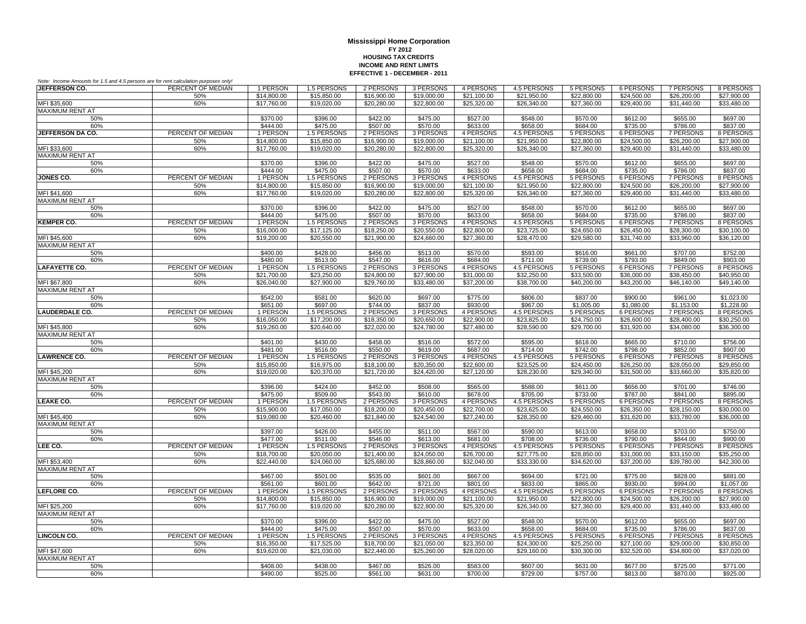| Note: Income Amounts for 1.5 and 4.5 persons are for rent calculation purposes only! |                   |                            |                         |                       |                       |                         |                         |                         |                                |                                |                         |
|--------------------------------------------------------------------------------------|-------------------|----------------------------|-------------------------|-----------------------|-----------------------|-------------------------|-------------------------|-------------------------|--------------------------------|--------------------------------|-------------------------|
| JEFFERSON CO.                                                                        | PERCENT OF MEDIAN | 1 PERSON                   | 1.5 PERSONS             | 2 PERSONS             | 3 PERSONS             | 4 PERSONS               | 4.5 PERSONS             | 5 PERSONS               | 6 PERSONS                      | 7 PERSONS                      | 8 PERSONS               |
|                                                                                      | 50%               | \$14,800.00                | \$15,850.00             | \$16,900.00           | \$19,000.00           | \$21,100.00             | \$21,950.00             | \$22,800.00             | \$24,500.00                    | \$26,200.00                    | \$27,900.00             |
| MFI \$35,600                                                                         | 60%               | \$17,760.00                | \$19,020.00             | \$20,280.00           | \$22,800.00           | \$25,320.00             | \$26,340.00             | \$27,360.00             | \$29,400.00                    | \$31,440.00                    | \$33,480.00             |
| <b>MAXIMUM RENT AT</b>                                                               |                   |                            |                         |                       |                       |                         |                         |                         |                                |                                |                         |
| 50%                                                                                  |                   | \$370.00                   | \$396.00                | \$422.00              | \$475.00              | \$527.00                | \$548.00                | \$570.00                | \$612.00                       | \$655.00                       | \$697.00                |
| 60%                                                                                  |                   | \$444.00                   | \$475.00                | \$507.00              | \$570.00              | \$633.00                | \$658.00                | \$684.00                | \$735.00                       | \$786.00                       | \$837.00                |
| JEFFERSON DA CO.                                                                     | PERCENT OF MEDIAN | 1 PERSON                   | 1.5 PERSONS             | 2 PERSONS             | 3 PERSONS             | 4 PERSONS               | 4.5 PERSONS             | 5 PERSONS               | <b>6 PERSONS</b>               | 7 PERSONS                      | 8 PERSONS               |
| MFI \$33,600                                                                         | 50%<br>60%        | \$14,800.00<br>\$17,760.00 | \$15,850.00             | \$16,900.00           | \$19,000.00           | $\overline{$}21,100.00$ | \$21,950.00             | \$22,800.00             | \$24,500.00                    | \$26,200.00                    | \$27,900.00             |
| <b>MAXIMUM RENT AT</b>                                                               |                   |                            | \$19,020.00             | \$20,280.00           | \$22,800.00           | \$25,320.00             | \$26,340.00             | \$27,360.00             | \$29,400.00                    | \$31,440.00                    | \$33,480.00             |
| 50%                                                                                  |                   | \$370.00                   | \$396.00                | \$422.00              | \$475.00              | \$527.00                | \$548.00                | \$570.00                | \$612.00                       | \$655.00                       | \$697.00                |
| 60%                                                                                  |                   | \$444.00                   | \$475.00                | \$507.00              | \$570.00              | \$633.00                | \$658.00                | \$684.00                | \$735.00                       | \$786.00                       | \$837.00                |
| <b>JONES CO.</b>                                                                     | PERCENT OF MEDIAN | 1 PERSON                   | 1.5 PERSONS             | 2 PERSONS             | 3 PERSONS             | 4 PERSONS               | 4.5 PERSONS             | 5 PERSONS               | 6 PERSONS                      | <b>7 PERSONS</b>               | 8 PERSONS               |
|                                                                                      | 50%               | \$14,800.00                | \$15,850.00             | \$16,900.00           | \$19,000.00           | \$21,100.00             | \$21,950.00             | \$22,800.00             | \$24,500.00                    | \$26,200.00                    | \$27,900.00             |
| MFI \$41,600                                                                         | 60%               | \$17,760.00                | \$19,020.00             | \$20,280.00           | \$22,800.00           | \$25,320.00             | \$26,340.00             | \$27,360.00             | \$29,400.00                    | \$31,440.00                    | \$33,480.00             |
| MAXIMUM RENT AT                                                                      |                   |                            |                         |                       |                       |                         |                         |                         |                                |                                |                         |
| 50%                                                                                  |                   | \$370.00                   | \$396.00                | \$422.00              | \$475.00              | \$527.00                | \$548.00                | \$570.00                | \$612.00                       | \$655.00                       | \$697.00                |
| 60%                                                                                  |                   | \$444.00                   | \$475.00                | \$507.00              | \$570.00              | \$633.00                | \$658.00                | \$684.00                | \$735.00                       | \$786.00                       | \$837.00                |
| <b>KEMPER CO.</b>                                                                    | PERCENT OF MEDIAN | 1 PERSON                   | 1.5 PERSONS             | 2 PERSONS             | 3 PERSONS             | 4 PERSONS               | 4.5 PERSONS             | 5 PERSONS               | <b>6 PERSONS</b>               | 7 PERSONS                      | 8 PERSONS               |
|                                                                                      | 50%               | \$16,000.00                | \$17,125.00             | \$18,250.00           | \$20,550.00           | \$22,800.00             | \$23,725.00             | \$24,650.00             | \$26,450.00                    | \$28,300.00                    | \$30,100.00             |
| MFI \$45,600                                                                         | 60%               | \$19,200.00                | \$20,550.00             | \$21,900.00           | \$24,660.00           | \$27,360.00             | \$28,470.00             | \$29,580.00             | \$31,740.00                    | \$33,960.00                    | \$36,120.00             |
| MAXIMUM RENT AT                                                                      |                   |                            |                         |                       |                       |                         |                         |                         |                                |                                |                         |
| 50%                                                                                  |                   | \$400.00                   | \$428.00                | \$456.00              | \$513.00              | \$570.00                | \$593.00                | \$616.00                | \$661.00                       | \$707.00                       | \$752.00                |
| 60%                                                                                  |                   | \$480.00                   | \$513.00                | \$547.00              | \$616.00              | \$684.00                | \$711.00                | \$739.00                | \$793.00                       | \$849.00                       | \$903.00                |
| <b>LAFAYETTE CO.</b>                                                                 | PERCENT OF MEDIAN | 1 PERSON                   | 1.5 PERSONS             | 2 PERSONS             | 3 PERSONS             | 4 PERSONS               | 4.5 PERSONS             | 5 PERSONS               | <b>6 PERSONS</b>               | <b>7 PERSONS</b>               | 8 PERSONS               |
|                                                                                      | 50%               | \$21,700.00                | \$23,250.00             | \$24,800.00           | \$27,900.00           | \$31,000.00             | \$32,250.00             | \$33,500.00             | \$36,000.00                    | \$38,450.00                    | \$40,950.00             |
| MFI \$67,800                                                                         | 60%               | \$26,040.00                | \$27,900.00             | \$29,760.00           | \$33,480.00           | \$37,200.00             | \$38,700.00             | \$40,200.00             | \$43,200.00                    | \$46,140.00                    | \$49,140.00             |
| <b>MAXIMUM RENT AT</b>                                                               |                   |                            |                         |                       |                       |                         |                         |                         |                                |                                |                         |
| 50%<br>60%                                                                           |                   | \$542.00                   | \$581.00                | \$620.00              | \$697.00              | \$775.00                | \$806.00                | \$837.00                | \$900.00                       | \$961.00                       | \$1,023.00              |
| <b>LAUDERDALE CO.</b>                                                                | PERCENT OF MEDIAN | \$651.00<br>1 PERSON       | \$697.00<br>1.5 PERSONS | \$744.00<br>2 PERSONS | \$837.00<br>3 PERSONS | \$930.00<br>4 PERSONS   | \$967.00<br>4.5 PERSONS | \$1,005.00<br>5 PERSONS | \$1,080.00<br><b>6 PERSONS</b> | \$1,153.00<br><b>7 PERSONS</b> | \$1,228.00<br>8 PERSONS |
|                                                                                      | 50%               | \$16,050.00                | \$17,200.00             | \$18,350.00           | \$20,650.00           | \$22,900.00             | \$23,825.00             | \$24,750.00             | \$26,600.00                    | \$28,400.00                    | \$30,250.00             |
| MFI \$45,800                                                                         | 60%               | \$19,260.00                | \$20,640.00             | \$22,020.00           | \$24,780.00           | \$27,480.00             | \$28,590.00             | \$29,700.00             | \$31.920.00                    | \$34,080.00                    | \$36,300.00             |
| <b>MAXIMUM RENT AT</b>                                                               |                   |                            |                         |                       |                       |                         |                         |                         |                                |                                |                         |
| 50%                                                                                  |                   | \$401.00                   | \$430.00                | \$458.00              | \$516.00              | \$572.00                | \$595.00                | \$618.00                | \$665.00                       | \$710.00                       | \$756.00                |
| 60%                                                                                  |                   | \$481.00                   | \$516.00                | \$550.00              | \$619.00              | \$687.00                | \$714.00                | \$742.00                | \$798.00                       | \$852.00                       | \$907.00                |
| <b>LAWRENCE CO.</b>                                                                  | PERCENT OF MEDIAN | 1 PERSON                   | 1.5 PERSONS             | 2 PERSONS             | 3 PERSONS             | 4 PERSONS               | 4.5 PERSONS             | 5 PERSONS               | <b>6 PERSONS</b>               | <b>7 PERSONS</b>               | 8 PERSONS               |
|                                                                                      | 50%               | \$15,850.00                | \$16,975.00             | \$18,100.00           | \$20,350.00           | \$22,600.00             | \$23,525.00             | \$24,450.00             | \$26,250.00                    | \$28,050.00                    | \$29,850.00             |
| MFI \$45,200                                                                         | 60%               | \$19,020.00                | \$20,370.00             | \$21,720.00           | \$24,420.00           | \$27,120.00             | \$28,230.00             | \$29,340.00             | \$31,500.00                    | \$33,660.00                    | \$35,820.00             |
| <b>MAXIMUM RENT AT</b>                                                               |                   |                            |                         |                       |                       |                         |                         |                         |                                |                                |                         |
| 50%                                                                                  |                   | \$396.00                   | \$424.00                | \$452.00              | \$508.00              | \$565.00                | \$588.00                | \$611.00                | \$656.00                       | \$701.00                       | \$746.00                |
| 60%                                                                                  |                   | \$475.00                   | \$509.00                | \$543.00              | \$610.00              | \$678.00                | \$705.00                | \$733.00                | \$787.00                       | \$841.00                       | \$895.00                |
| LEAKE CO.                                                                            | PERCENT OF MEDIAN | 1 PERSON                   | 1.5 PERSONS             | 2 PERSONS             | 3 PERSONS             | 4 PERSONS               | 4.5 PERSONS             | 5 PERSONS               | 6 PERSONS                      | 7 PERSONS                      | 8 PERSONS               |
|                                                                                      | 50%               | \$15,900.00                | \$17,050.00             | \$18,200.00           | \$20,450.00           | \$22,700.00             | \$23,625.00             | \$24,550.00             | \$26,350.00                    | \$28,150.00                    | \$30,000.00             |
| MFI \$45.400                                                                         | 60%               | \$19,080.00                | \$20,460.00             | \$21,840.00           | \$24,540.00           | \$27,240.00             | \$28,350.00             | \$29,460.00             | \$31,620.00                    | \$33,780.00                    | \$36,000.00             |
| <b>MAXIMUM RENT AT</b>                                                               |                   |                            |                         |                       |                       |                         |                         |                         |                                |                                |                         |
| 50%                                                                                  |                   | \$397.00                   | \$426.00                | \$455.00              | \$511.00              | \$567.00                | \$590.00                | \$613.00                | \$658.00                       | \$703.00                       | \$750.00                |
| 60%<br>LEE CO.                                                                       | PERCENT OF MEDIAN | \$477.00<br>1 PERSON       | \$511.00<br>1.5 PERSONS | \$546.00<br>2 PERSONS | \$613.00<br>3 PERSONS | \$681.00<br>4 PERSONS   | \$708.00<br>4.5 PERSONS | \$736.00<br>5 PERSONS   | \$790.00<br><b>6 PERSONS</b>   | \$844.00<br><b>7 PERSONS</b>   | \$900.00<br>8 PERSONS   |
|                                                                                      | 50%               | \$18,700.00                | \$20,050.00             | \$21,400.00           | \$24,050.00           | \$26,700.00             | \$27,775.00             | \$28,850.00             | \$31,000.00                    | \$33,150.00                    | \$35,250.00             |
| MFI \$53,400                                                                         | 60%               | \$22,440.00                | \$24,060.00             | \$25,680.00           | \$28,860.00           | \$32,040.00             | \$33,330.00             | \$34,620.00             | \$37,200.00                    | \$39,780.00                    | \$42,300.00             |
| <b>MAXIMUM RENT AT</b>                                                               |                   |                            |                         |                       |                       |                         |                         |                         |                                |                                |                         |
| 50%                                                                                  |                   | \$467.00                   | \$501.00                | \$535.00              | \$601.00              | \$667.00                | \$694.00                | \$721.00                | \$775.00                       | \$828.00                       | \$881.00                |
| 60%                                                                                  |                   | \$561.00                   | \$601.00                | \$642.00              | \$721.00              | \$801.00                | \$833.00                | \$865.00                | \$930.00                       | \$994.00                       | \$1,057.00              |
| <b>LEFLORE CO.</b>                                                                   | PERCENT OF MEDIAN | 1 PERSON                   | 1.5 PERSONS             | 2 PERSONS             | 3 PERSONS             | 4 PERSONS               | 4.5 PERSONS             | 5 PERSONS               | <b>6 PERSONS</b>               | <b>7 PERSONS</b>               | 8 PERSONS               |
|                                                                                      | 50%               | \$14,800.00                | \$15,850.00             | \$16,900.00           | \$19,000.00           | \$21,100.00             | \$21,950.00             | \$22,800.00             | \$24,500.00                    | \$26,200.00                    | \$27,900.00             |
| MFI \$25,200                                                                         | 60%               | \$17,760.00                | \$19,020.00             | \$20,280.00           | \$22,800.00           | \$25,320.00             | \$26,340.00             | \$27,360.00             | \$29,400.00                    | \$31,440.00                    | \$33,480.00             |
| MAXIMUM RENT AT                                                                      |                   |                            |                         |                       |                       |                         |                         |                         |                                |                                |                         |
| 50%                                                                                  |                   | \$370.00                   | \$396.00                | \$422.00              | \$475.00              | \$527.00                | \$548.00                | \$570.00                | \$612.00                       | \$655.00                       | \$697.00                |
| 60%                                                                                  |                   | \$444.00                   | \$475.00                | \$507.00              | \$570.00              | \$633.00                | \$658.00                | \$684.00                | \$735.00                       | \$786.00                       | \$837.00                |
| <b>LINCOLN CO.</b>                                                                   | PERCENT OF MEDIAN | 1 PERSON                   | 1.5 PERSONS             | 2 PERSONS             | 3 PERSONS             | 4 PERSONS               | 4.5 PERSONS             | <b>5 PERSONS</b>        | <b>6 PERSONS</b>               | <b>7 PERSONS</b>               | 8 PERSONS               |
|                                                                                      | 50%               | \$16,350.00                | \$17,525.00             | \$18,700.00           | \$21,050.00           | \$23,350.00             | \$24,300.00             | \$25,250.00             | \$27,100.00                    | \$29,000.00                    | \$30,850.00             |
| MFI \$47.600                                                                         | 60%               | \$19,620.00                | \$21,030.00             | \$22,440.00           | \$25,260.00           | \$28,020.00             | \$29,160.00             | \$30,300.00             | \$32,520.00                    | \$34,800.00                    | \$37,020.00             |
| <b>MAXIMUM RENT AT</b>                                                               |                   |                            |                         |                       |                       |                         |                         |                         |                                |                                |                         |
| 50%                                                                                  |                   | \$408.00                   | \$438.00                | \$467.00              | \$526.00              | \$583.00                | \$607.00                | \$631.00                | \$677.00                       | \$725.00                       | \$771.00                |
| 60%                                                                                  |                   | \$490.00                   | \$525.00                | \$561.00              | \$631.00              | \$700.00                | \$729.00                | \$757.00                | \$813.00                       | \$870.00                       | \$925.00                |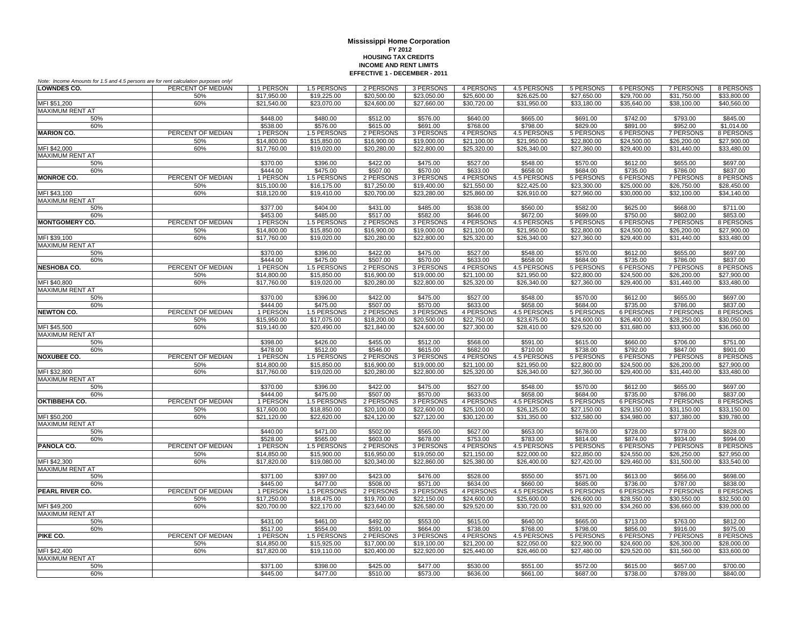| Note: Income Amounts for 1.5 and 4.5 persons are for rent calculation purposes only! |                   |                            |                            |                            |                            |                            |                            |                            |                            |                            |                            |
|--------------------------------------------------------------------------------------|-------------------|----------------------------|----------------------------|----------------------------|----------------------------|----------------------------|----------------------------|----------------------------|----------------------------|----------------------------|----------------------------|
| <b>LOWNDES CO.</b>                                                                   | PERCENT OF MEDIAN | 1 PERSON                   | 1.5 PERSONS                | 2 PERSONS                  | 3 PERSONS                  | 4 PERSONS                  | 4.5 PERSONS                | 5 PERSONS                  | 6 PERSONS                  | 7 PERSONS                  | 8 PERSONS                  |
|                                                                                      | 50%               | \$17,950.00                | \$19,225.00                | \$20,500.00                | \$23,050.00                | \$25,600.00                | \$26,625.00                | \$27,650.00                | \$29,700.00                | \$31,750.00                | \$33,800.00                |
| MFI \$51,200                                                                         | 60%               | \$21,540.00                | \$23,070.00                | \$24,600.00                | \$27,660.00                | \$30,720.00                | \$31,950.00                | \$33,180.00                | \$35,640.00                | \$38,100.00                | \$40,560.00                |
| <b>MAXIMUM RENT AT</b>                                                               |                   |                            |                            |                            |                            |                            |                            |                            |                            |                            |                            |
| 50%                                                                                  |                   | \$448.00                   | \$480.00                   | \$512.00                   | \$576.00                   | \$640.00                   | \$665.00                   | \$691.00                   | \$742.00                   | \$793.00                   | \$845.00                   |
| 60%                                                                                  |                   | \$538.00                   | \$576.00                   | \$615.00                   | \$691.00                   | \$768.00                   | \$798.00                   | \$829.00                   | \$891.00                   | \$952.00                   | \$1,014.00                 |
| <b>MARION CO.</b>                                                                    | PERCENT OF MEDIAN | 1 PERSON                   | 1.5 PERSONS                | 2 PERSONS                  | 3 PERSONS                  | 4 PERSONS                  | 4.5 PERSONS                | 5 PERSONS                  | <b>6 PERSONS</b>           | 7 PERSONS                  | 8 PERSONS                  |
|                                                                                      | 50%               | \$14,800.00                | \$15,850.00                | \$16,900.00                | \$19,000.00                | \$21,100.00                | \$21,950.00                | \$22,800.00                | \$24,500.00                | \$26,200.00                | \$27,900.00                |
| MFI \$42,000<br><b>MAXIMUM RENT AT</b>                                               | 60%               | \$17,760.00                | \$19,020.00                | \$20,280.00                | \$22,800.00                | \$25,320.00                | \$26,340.00                | \$27,360.00                | \$29,400.00                | \$31,440.00                | \$33,480.00                |
| 50%                                                                                  |                   | \$370.00                   | \$396.00                   | \$422.00                   | \$475.00                   | \$527.00                   | \$548.00                   | \$570.00                   | \$612.00                   | \$655.00                   | \$697.00                   |
| 60%                                                                                  |                   | \$444.00                   | \$475.00                   | \$507.00                   | \$570.00                   | \$633.00                   | \$658.00                   | \$684.00                   | \$735.00                   | \$786.00                   | \$837.00                   |
| <b>MONROE CO.</b>                                                                    | PERCENT OF MEDIAN | 1 PERSON                   | 1.5 PERSONS                | 2 PERSONS                  | 3 PERSONS                  | 4 PERSONS                  | 4.5 PERSONS                | 5 PERSONS                  | <b>6 PERSONS</b>           | <b>7 PERSONS</b>           | 8 PERSONS                  |
|                                                                                      | 50%               | \$15,100.00                | \$16,175.00                | \$17,250.00                | \$19,400.00                | \$21,550.00                | \$22,425.00                | \$23,300.00                | \$25,000.00                | \$26,750.00                | \$28,450.00                |
| MFI \$43,100                                                                         | 60%               | \$18,120.00                | \$19,410.00                | \$20,700.00                | \$23,280.00                | \$25,860.00                | \$26.910.00                | \$27,960.00                | \$30,000.00                | \$32,100.00                | \$34,140.00                |
| MAXIMUM RENT AT                                                                      |                   |                            |                            |                            |                            |                            |                            |                            |                            |                            |                            |
| 50%                                                                                  |                   | \$377.00                   | \$404.00                   | \$431.00                   | \$485.00                   | \$538.00                   | \$560.00                   | \$582.00                   | \$625.00                   | \$668.00                   | \$711.00                   |
| 60%                                                                                  |                   | \$453.00                   | \$485.00                   | \$517.00                   | \$582.00                   | \$646.00                   | \$672.00                   | \$699.00                   | \$750.00                   | \$802.00                   | \$853.00                   |
| <b>MONTGOMERY CO.</b>                                                                | PERCENT OF MEDIAN | 1 PERSON                   | 1.5 PERSONS                | 2 PERSONS                  | 3 PERSONS                  | 4 PERSONS                  | 4.5 PERSONS                | 5 PERSONS                  | <b>6 PERSONS</b>           | <b>7 PERSONS</b>           | 8 PERSONS                  |
|                                                                                      | 50%               | \$14,800.00                | \$15,850.00                | \$16,900.00                | \$19,000.00                | \$21,100.00                | \$21.950.00                | \$22,800.00                | \$24,500.00                | \$26,200.00                | \$27,900.00                |
| MFI \$39,100                                                                         | 60%               | \$17,760.00                | \$19,020.00                | \$20,280.00                | \$22,800.00                | \$25,320.00                | \$26,340.00                | \$27,360.00                | \$29,400.00                | \$31,440.00                | \$33,480.00                |
| <b>MAXIMUM RENT AT</b>                                                               |                   |                            |                            |                            |                            |                            |                            |                            |                            |                            |                            |
| 50%                                                                                  |                   | \$370.00                   | \$396.00                   | \$422.00                   | \$475.00                   | \$527.00                   | \$548.00                   | \$570.00                   | \$612.00                   | \$655.00                   | \$697.00                   |
| 60%                                                                                  |                   | \$444.00                   | \$475.00                   | \$507.00                   | \$570.00                   | \$633.00                   | \$658.00                   | \$684.00                   | \$735.00                   | \$786.00                   | \$837.00                   |
| <b>NESHOBA CO.</b>                                                                   | PERCENT OF MEDIAN | 1 PERSON                   | 1.5 PERSONS                | 2 PERSONS                  | 3 PERSONS                  | 4 PERSONS                  | 4.5 PERSONS                | 5 PERSONS                  | <b>6 PERSONS</b>           | 7 PERSONS                  | 8 PERSONS                  |
|                                                                                      | 50%               | \$14,800.00                | \$15,850.00                | \$16,900.00                | \$19,000.00                | \$21,100.00                | \$21,950.00                | \$22,800.00                | \$24,500.00                | \$26,200.00                | \$27,900.00                |
| MFI \$40,800                                                                         | 60%               | \$17,760.00                | \$19,020.00                | \$20,280.00                | \$22,800.00                | \$25,320.00                | \$26,340.00                | \$27,360.00                | \$29,400.00                | \$31,440.00                | \$33,480.00                |
| MAXIMUM RENT AT                                                                      |                   |                            |                            |                            |                            |                            |                            |                            |                            |                            |                            |
| 50%                                                                                  |                   | \$370.00                   | \$396.00                   | \$422.00                   | \$475.00                   | \$527.00                   | \$548.00                   | \$570.00                   | \$612.00                   | \$655.00                   | \$697.00                   |
| 60%<br><b>NEWTON CO.</b>                                                             | PERCENT OF MEDIAN | \$444.00<br>1 PERSON       | \$475.00<br>1.5 PERSONS    | \$507.00<br>2 PERSONS      | \$570.00                   | \$633.00<br>4 PERSONS      | \$658.00<br>4.5 PERSONS    | \$684.00                   | \$735.00                   | \$786.00<br>7 PERSONS      | \$837.00                   |
|                                                                                      |                   | \$15,950.00                | \$17,075.00                | \$18,200.00                | 3 PERSONS<br>\$20,500.00   | \$22,750.00                | \$23,675.00                | 5 PERSONS<br>\$24,600.00   | 6 PERSONS<br>\$26,400.00   | \$28,250.00                | 8 PERSONS<br>\$30,050.00   |
| MFI \$45,500                                                                         | 50%<br>60%        | \$19,140.00                | \$20,490.00                | \$21.840.00                | \$24,600.00                | \$27,300.00                | \$28,410.00                | \$29,520.00                | \$31,680.00                | \$33,900.00                | \$36,060.00                |
| <b>MAXIMUM RENT AT</b>                                                               |                   |                            |                            |                            |                            |                            |                            |                            |                            |                            |                            |
| 50%                                                                                  |                   | \$398.00                   | \$426.00                   | \$455.00                   | \$512.00                   | \$568.00                   | \$591.00                   | \$615.00                   | \$660.00                   | \$706.00                   | \$751.00                   |
| 60%                                                                                  |                   | \$478.00                   | \$512.00                   | \$546.00                   | \$615.00                   | \$682.00                   | \$710.00                   | \$738.00                   | \$792.00                   | \$847.00                   | \$901.00                   |
| <b>NOXUBEE CO.</b>                                                                   | PERCENT OF MEDIAN | 1 PERSON                   | 1.5 PERSONS                | 2 PERSONS                  | 3 PERSONS                  | <b>4 PERSONS</b>           | <b>4.5 PERSONS</b>         | 5 PERSONS                  | <b>6 PERSONS</b>           | 7 PERSONS                  | 8 PERSONS                  |
|                                                                                      | 50%               | \$14,800.00                | \$15,850.00                | \$16,900.00                | \$19,000.00                | \$21,100.00                | \$21,950.00                | \$22,800.00                | \$24,500.00                | \$26,200.00                | \$27,900.00                |
| MFI \$32,800                                                                         | 60%               | \$17,760.00                | \$19,020.00                | \$20,280.00                | \$22,800.00                | \$25,320.00                | \$26,340.00                | \$27,360.00                | \$29,400.00                | \$31,440.00                | \$33,480.00                |
| <b>MAXIMUM RENT AT</b>                                                               |                   |                            |                            |                            |                            |                            |                            |                            |                            |                            |                            |
| 50%                                                                                  |                   | \$370.00                   | \$396.00                   | \$422.00                   | \$475.00                   | \$527.00                   | \$548.00                   | \$570.00                   | \$612.00                   | \$655.00                   | \$697.00                   |
| 60%                                                                                  |                   | \$444.00                   | \$475.00                   | \$507.00                   | \$570.00                   | \$633.00                   | \$658.00                   | \$684.00                   | \$735.00                   | \$786.00                   | \$837.00                   |
| OKTIBBEHA CO.                                                                        | PERCENT OF MEDIAN | 1 PERSON                   | 1.5 PERSONS                | 2 PERSONS                  | 3 PERSONS                  | 4 PERSONS                  | 4.5 PERSONS                | 5 PERSONS                  | 6 PERSONS                  | 7 PERSONS                  | 8 PERSONS                  |
|                                                                                      | 50%               | \$17,600.00                | \$18,850.00                | \$20,100.00                | \$22,600.00                | \$25,100.00                | \$26,125.00                | \$27,150.00                | \$29,150.00                | \$31,150.00                | \$33,150.00                |
| MFI \$50,200                                                                         | 60%               | \$21,120.00                | \$22,620.00                | \$24,120.00                | \$27,120.00                | \$30,120.00                | \$31,350.00                | \$32,580.00                | \$34,980.00                | \$37,380.00                | \$39,780.00                |
| <b>MAXIMUM RENT AT</b>                                                               |                   |                            |                            |                            |                            |                            |                            |                            |                            |                            |                            |
| 50%                                                                                  |                   | \$440.00                   | \$471.00                   | \$502.00                   | \$565.00                   | \$627.00                   | \$653.00                   | \$678.00                   | \$728.00                   | \$778.00                   | \$828.00                   |
| 60%                                                                                  |                   | \$528.00                   | \$565.00                   | \$603.00                   | \$678.00                   | \$753.00                   | \$783.00                   | \$814.00                   | \$874.00                   | \$934.00                   | \$994.00                   |
| PANOLA CO.                                                                           | PERCENT OF MEDIAN | 1 PERSON                   | 1.5 PERSONS                | 2 PERSONS                  | 3 PERSONS                  | 4 PERSONS                  | 4.5 PERSONS                | 5 PERSONS                  | 6 PERSONS                  | 7 PERSONS                  | 8 PERSONS                  |
| MFI \$42,300                                                                         | 50%<br>60%        | \$14,850.00<br>\$17,820.00 | \$15,900.00<br>\$19,080.00 | \$16,950.00<br>\$20,340.00 | \$19,050.00<br>\$22,860.00 | \$21,150.00<br>\$25,380.00 | \$22,000.00<br>\$26,400.00 | \$22,850.00<br>\$27,420.00 | \$24,550.00<br>\$29,460.00 | \$26,250.00<br>\$31,500.00 | \$27,950.00<br>\$33,540.00 |
| <b>MAXIMUM RENT AT</b>                                                               |                   |                            |                            |                            |                            |                            |                            |                            |                            |                            |                            |
| 50%                                                                                  |                   | \$371.00                   | \$397.00                   | \$423.00                   | \$476.00                   | \$528.00                   | \$550.00                   | \$571.00                   | \$613.00                   | \$656.00                   | \$698.00                   |
| 60%                                                                                  |                   | \$445.00                   | \$477.00                   | \$508.00                   | \$571.00                   | \$634.00                   | \$660.00                   | \$685.00                   | \$736.00                   | \$787.00                   | \$838.00                   |
| PEARL RIVER CO.                                                                      | PERCENT OF MEDIAN | 1 PERSON                   | 1.5 PERSONS                | 2 PERSONS                  | 3 PERSONS                  | 4 PERSONS                  | <b>4.5 PERSONS</b>         | 5 PERSONS                  | <b>6 PERSONS</b>           | 7 PERSONS                  | 8 PERSONS                  |
|                                                                                      | 50%               | \$17,250.00                | \$18,475.00                | \$19,700.00                | \$22,150.00                | \$24,600.00                | \$25,600.00                | \$26,600.00                | \$28,550.00                | \$30,550.00                | \$32,500.00                |
| MFI \$49.200                                                                         | 60%               | \$20,700.00                | \$22,170.00                | \$23.640.00                | \$26,580.00                | \$29,520.00                | \$30,720.00                | \$31.920.00                | \$34,260.00                | \$36,660.00                | \$39,000.00                |
| <b>MAXIMUM RENT AT</b>                                                               |                   |                            |                            |                            |                            |                            |                            |                            |                            |                            |                            |
| 50%                                                                                  |                   | \$431.00                   | \$461.00                   | \$492.00                   | \$553.00                   | \$615.00                   | \$640.00                   | \$665.00                   | \$713.00                   | \$763.00                   | \$812.00                   |
| 60%                                                                                  |                   | \$517.00                   | \$554.00                   | \$591.00                   | \$664.00                   | \$738.00                   | \$768.00                   | \$798.00                   | \$856.00                   | \$916.00                   | \$975.00                   |
| PIKE CO.                                                                             | PERCENT OF MEDIAN | 1 PERSON                   | 1.5 PERSONS                | 2 PERSONS                  | 3 PERSONS                  | 4 PERSONS                  | 4.5 PERSONS                | 5 PERSONS                  | <b>6 PERSONS</b>           | 7 PERSONS                  | 8 PERSONS                  |
|                                                                                      | 50%               | \$14,850.00                | \$15,925.00                | \$17,000.00                | \$19,100.00                | \$21,200.00                | \$22,050.00                | \$22,900.00                | \$24,600.00                | \$26,300.00                | \$28,000.00                |
| MFI \$42,400                                                                         | 60%               | \$17,820.00                | \$19,110.00                | \$20,400.00                | \$22,920.00                | \$25,440.00                | \$26,460.00                | \$27,480.00                | \$29,520.00                | \$31,560.00                | \$33,600.00                |
| MAXIMUM RENT AT                                                                      |                   |                            |                            |                            |                            |                            |                            |                            |                            |                            |                            |
| 50%                                                                                  |                   | \$371.00                   | \$398.00                   | \$425.00                   | \$477.00                   | \$530.00                   | \$551.00                   | \$572.00                   | \$615.00                   | \$657.00                   | \$700.00                   |
| 60%                                                                                  |                   | \$445.00                   | \$477.00                   | \$510.00                   | \$573.00                   | \$636.00                   | \$661.00                   | \$687.00                   | \$738.00                   | \$789.00                   | \$840.00                   |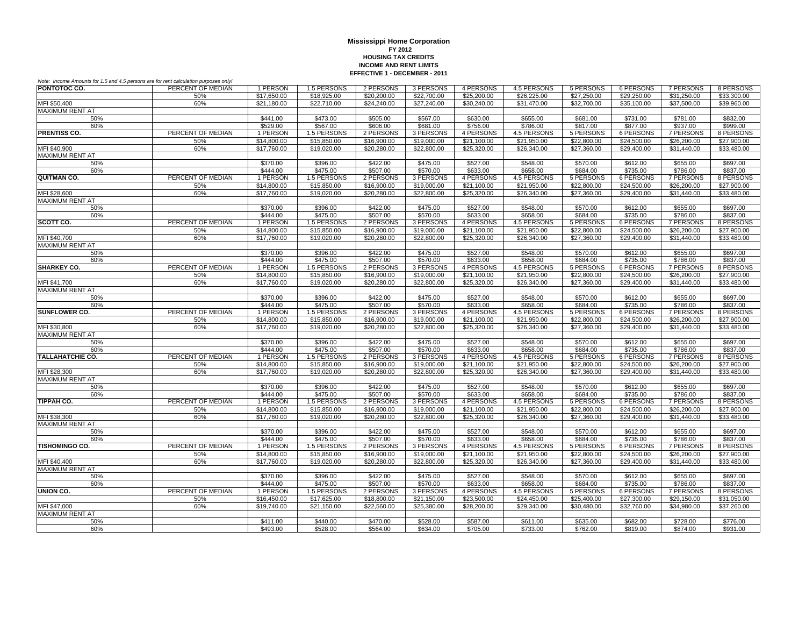|                         | Note: Income Amounts for 1.5 and 4.5 persons are for rent calculation purposes only! |                      |                      |                      |                      |                         |                      |                      |                      |                      |                      |
|-------------------------|--------------------------------------------------------------------------------------|----------------------|----------------------|----------------------|----------------------|-------------------------|----------------------|----------------------|----------------------|----------------------|----------------------|
| PONTOTOC CO.            | PERCENT OF MEDIAN                                                                    | 1 PERSON             | 1.5 PERSONS          | 2 PERSONS            | 3 PERSONS            | 4 PERSONS               | 4.5 PERSONS          | 5 PERSONS            | <b>6 PERSONS</b>     | <b>7 PERSONS</b>     | 8 PERSONS            |
|                         | 50%                                                                                  | \$17.650.00          | \$18,925.00          | \$20,200.00          | \$22,700.00          | \$25,200.00             | \$26,225.00          | \$27,250.00          | \$29,250.00          | \$31.250.00          | \$33,300.00          |
| MFI \$50,400            | 60%                                                                                  | \$21,180.00          | \$22,710.00          | \$24,240.00          | \$27,240.00          | \$30.240.00             | \$31,470.00          | \$32,700.00          | \$35,100.00          | \$37,500.00          | \$39,960.00          |
| MAXIMUM RENT AT         |                                                                                      |                      |                      |                      |                      |                         |                      |                      |                      |                      |                      |
| 50%                     |                                                                                      | \$441.00             | \$473.00             | \$505.00             | \$567.00             | \$630.00                | \$655.00             | \$681.00             | \$731.00             | \$781.00             | \$832.00             |
| 60%                     |                                                                                      | \$529.00             | \$567.00             | \$606.00             | \$681.00             | \$756.00                | \$786.00             | \$817.00             | \$877.00             | \$937.00             | \$999.00             |
| <b>PRENTISS CO.</b>     | PERCENT OF MEDIAN                                                                    | 1 PERSON             | 1.5 PERSONS          | 2 PERSONS            | 3 PERSONS            | 4 PERSONS               | 4.5 PERSONS          | 5 PERSONS            | 6 PERSONS            | 7 PERSONS            | 8 PERSONS            |
|                         | 50%                                                                                  | \$14,800.00          | \$15,850.00          | \$16,900.00          | \$19,000.00          | \$21.100.00             | \$21.950.00          | \$22,800.00          | \$24,500.00          | \$26,200.00          | \$27,900.00          |
| MFI \$40,900            | 60%                                                                                  | \$17,760.00          | \$19,020.00          | \$20,280.00          | \$22,800.00          | \$25,320.00             | \$26,340.00          | \$27,360.00          | \$29,400.00          | \$31,440.00          | \$33,480.00          |
| MAXIMUM RENT AT         |                                                                                      |                      |                      |                      |                      |                         |                      |                      |                      |                      |                      |
| 50%                     |                                                                                      | \$370.00             | \$396.00             | \$422.00             | \$475.00             | \$527.00                | \$548.00             | \$570.00             | \$612.00             | \$655.00             | \$697.00             |
| 60%                     |                                                                                      | \$444.00             | \$475.00             | \$507.00             | \$570.00             | \$633.00                | \$658.00             | \$684.00             | \$735.00             | \$786.00             | \$837.00             |
| <b>QUITMAN CO.</b>      | PERCENT OF MEDIAN                                                                    | 1 PERSON             | 1.5 PERSONS          | 2 PERSONS            | 3 PERSONS            | 4 PERSONS               | 4.5 PERSONS          | 5 PERSONS            | 6 PERSONS            | <b>7 PERSONS</b>     | 8 PERSONS            |
|                         | 50%                                                                                  | \$14,800.00          | \$15,850.00          | \$16,900.00          | \$19,000.00          | \$21,100.00             | \$21,950.00          | \$22,800.00          | \$24,500.00          | \$26,200.00          | \$27,900.00          |
| MFI \$28,600            | 60%                                                                                  | \$17,760.00          | \$19,020.00          | \$20,280.00          | \$22,800.00          | \$25,320.00             | \$26,340.00          | \$27,360.00          | \$29,400.00          | \$31,440.00          | \$33,480.00          |
| <b>MAXIMUM RENT AT</b>  |                                                                                      |                      |                      |                      |                      |                         |                      |                      |                      |                      |                      |
| 50%                     |                                                                                      | \$370.00             | \$396.00             | \$422.00             | \$475.00             | \$527.00                | \$548.00             | \$570.00             | \$612.00             | \$655.00             | \$697.00             |
| 60%                     |                                                                                      | \$444.00             | \$475.00             | \$507.00             | \$570.00             | \$633.00                | \$658.00             | \$684.00             | \$735.00             | \$786.00             | \$837.00             |
| SCOTT CO.               | PERCENT OF MEDIAN                                                                    | 1 PERSON             | 1.5 PERSONS          | 2 PERSONS            | 3 PERSONS            | 4 PERSONS               | 4.5 PERSONS          | 5 PERSONS            | 6 PERSONS            | <b>7 PERSONS</b>     | 8 PERSONS            |
|                         | 50%                                                                                  | \$14,800.00          | \$15,850.00          | \$16,900.00          | \$19,000.00          | \$21,100.00             | \$21,950.00          | \$22,800.00          | \$24,500.00          | \$26,200.00          | \$27,900.00          |
| MFI \$40,700            | 60%                                                                                  | \$17,760.00          | \$19,020.00          | \$20,280.00          | \$22,800.00          | \$25,320.00             | \$26,340.00          | \$27,360.00          | \$29,400.00          | \$31,440.00          | \$33,480.00          |
| <b>MAXIMUM RENT AT</b>  |                                                                                      |                      |                      |                      |                      |                         |                      |                      |                      |                      |                      |
| 50%                     |                                                                                      | \$370.00             | \$396.00             | \$422.00             | \$475.00             | \$527.00                | \$548.00             | \$570.00             | \$612.00             | \$655.00             | \$697.00             |
| 60%                     |                                                                                      | \$444.00             | \$475.00             | \$507.00             | \$570.00             | \$633.00                | \$658.00             | \$684.00             | \$735.00             | \$786.00             | \$837.00             |
| <b>SHARKEY CO.</b>      | PERCENT OF MEDIAN                                                                    | 1 PERSON             | 1.5 PERSONS          | 2 PERSONS            | 3 PERSONS            | 4 PERSONS               | 4.5 PERSONS          | 5 PERSONS            | 6 PERSONS            | 7 PERSONS            | 8 PERSONS            |
|                         | 50%                                                                                  | \$14,800.00          | \$15,850.00          | \$16,900.00          | \$19,000.00          | \$21,100.00             | \$21,950.00          | \$22,800.00          | \$24,500.00          | \$26,200.00          | \$27,900.00          |
| MFI \$41,700            | 60%                                                                                  | \$17,760.00          | \$19,020.00          | \$20,280.00          | \$22,800.00          | \$25,320.00             | \$26,340.00          | \$27,360.00          | \$29,400.00          | \$31,440.00          | \$33,480.00          |
| <b>MAXIMUM RENT AT</b>  |                                                                                      |                      |                      |                      |                      |                         |                      |                      |                      |                      |                      |
| 50%<br>60%              |                                                                                      | \$370.00<br>\$444.00 | \$396.00<br>\$475.00 | \$422.00<br>\$507.00 | \$475.00<br>\$570.00 | \$527.00<br>\$633.00    | \$548.00<br>\$658.00 | \$570.00<br>\$684.00 | \$612.00<br>\$735.00 | \$655.00<br>\$786.00 | \$697.00<br>\$837.00 |
| SUNFLOWER CO.           | PERCENT OF MEDIAN                                                                    | 1 PERSON             | 1.5 PERSONS          | 2 PERSONS            | 3 PERSONS            | 4 PERSONS               | 4.5 PERSONS          | 5 PERSONS            | <b>6 PERSONS</b>     | 7 PERSONS            | 8 PERSONS            |
|                         | 50%                                                                                  | \$14,800.00          | \$15,850.00          | \$16,900.00          | \$19,000.00          | $\overline{$21,100.00}$ | \$21,950.00          | \$22,800.00          | \$24,500.00          | \$26,200.00          | \$27,900.00          |
| MFI \$30,800            | 60%                                                                                  | \$17,760.00          | \$19,020.00          | \$20,280.00          | \$22,800.00          | \$25,320.00             | \$26,340.00          | \$27,360.00          | \$29,400.00          | \$31,440.00          | \$33,480.00          |
| <b>MAXIMUM RENT AT</b>  |                                                                                      |                      |                      |                      |                      |                         |                      |                      |                      |                      |                      |
| 50%                     |                                                                                      | \$370.00             | \$396.00             | \$422.00             | \$475.00             | \$527.00                | \$548.00             | \$570.00             | \$612.00             | \$655.00             | \$697.00             |
| 60%                     |                                                                                      | \$444.00             | \$475.00             | \$507.00             | \$570.00             | \$633.00                | \$658.00             | \$684.00             | \$735.00             | \$786.00             | \$837.00             |
| <b>TALLAHATCHIE CO.</b> | PERCENT OF MEDIAN                                                                    | 1 PERSON             | 1.5 PERSONS          | 2 PERSONS            | 3 PERSONS            | 4 PERSONS               | <b>4.5 PERSONS</b>   | 5 PERSONS            | <b>6 PERSONS</b>     | <b>7 PERSONS</b>     | 8 PERSONS            |
|                         | 50%                                                                                  | \$14,800.00          | \$15,850.00          | \$16,900.00          | \$19,000.00          | \$21,100.00             | \$21,950.00          | \$22,800.00          | \$24,500.00          | \$26,200.00          | \$27,900.00          |
| MFI \$28,300            | 60%                                                                                  | \$17,760.00          | \$19,020.00          | \$20,280.00          | \$22,800.00          | \$25,320.00             | \$26,340.00          | \$27,360.00          | \$29,400.00          | \$31,440.00          | \$33,480.00          |
| <b>MAXIMUM RENT AT</b>  |                                                                                      |                      |                      |                      |                      |                         |                      |                      |                      |                      |                      |
| 50%                     |                                                                                      | \$370.00             | \$396.00             | \$422.00             | \$475.00             | \$527.00                | \$548.00             | \$570.00             | \$612.00             | \$655.00             | \$697.00             |
| 60%                     |                                                                                      | \$444.00             | \$475.00             | \$507.00             | \$570.00             | \$633.00                | \$658.00             | \$684.00             | \$735.00             | \$786.00             | \$837.00             |
| <b>TIPPAH CO.</b>       | PERCENT OF MEDIAN                                                                    | 1 PERSON             | 1.5 PERSONS          | 2 PERSONS            | 3 PERSONS            | 4 PERSONS               | 4.5 PERSONS          | 5 PERSONS            | 6 PERSONS            | <b>7 PERSONS</b>     | 8 PERSONS            |
|                         | 50%                                                                                  | \$14,800.00          | \$15,850.00          | \$16,900.00          | \$19,000.00          | \$21,100.00             | \$21,950.00          | \$22,800.00          | \$24,500.00          | \$26,200.00          | \$27,900.00          |
| MFI \$38,300            | 60%                                                                                  | \$17,760.00          | \$19,020.00          | \$20,280.00          | \$22,800.00          | \$25,320.00             | \$26,340.00          | \$27,360.00          | \$29,400.00          | \$31,440.00          | \$33,480.00          |
| <b>MAXIMUM RENT AT</b>  |                                                                                      |                      |                      |                      |                      |                         |                      |                      |                      |                      |                      |
| 50%                     |                                                                                      | \$370.00             | \$396.00             | \$422.00             | \$475.00             | \$527.00                | \$548.00             | \$570.00             | \$612.00             | \$655.00             | \$697.00             |
| 60%                     |                                                                                      | \$444.00             | \$475.00             | \$507.00             | \$570.00             | \$633.00                | \$658.00             | \$684.00             | \$735.00             | \$786.00             | \$837.00             |
| <b>TISHOMINGO CO.</b>   | PERCENT OF MEDIAN                                                                    | 1 PERSON             | 1.5 PERSONS          | 2 PERSONS            | 3 PERSONS            | 4 PERSONS               | 4.5 PERSONS          | 5 PERSONS            | 6 PERSONS            | <b>7 PERSONS</b>     | 8 PERSONS            |
|                         | 50%                                                                                  | \$14,800.00          | \$15,850.00          | \$16,900.00          | \$19,000.00          | \$21,100.00             | \$21,950.00          | \$22,800.00          | \$24,500.00          | \$26,200.00          | \$27,900.00          |
| MFI \$40,400            | 60%                                                                                  | \$17,760.00          | \$19,020.00          | \$20,280.00          | \$22,800.00          | \$25,320.00             | \$26,340.00          | \$27,360.00          | \$29,400.00          | \$31,440.00          | \$33,480.00          |
| <b>MAXIMUM RENT AT</b>  |                                                                                      |                      |                      |                      |                      |                         |                      |                      |                      |                      |                      |
| 50%                     |                                                                                      | \$370.00             | \$396.00             | \$422.00             | \$475.00             | \$527.00                | \$548.00             | \$570.00             | \$612.00             | \$655.00             | \$697.00             |
| 60%                     |                                                                                      | \$444.00             | \$475.00             | \$507.00             | \$570.00             | \$633.00                | \$658.00             | \$684.00             | \$735.00             | \$786.00             | \$837.00             |
| UNION CO.               | PERCENT OF MEDIAN                                                                    | 1 PERSON             | 1.5 PERSONS          | 2 PERSONS            | 3 PERSONS            | 4 PERSONS               | 4.5 PERSONS          | 5 PERSONS            | 6 PERSONS            | 7 PERSONS            | 8 PERSONS            |
|                         | 50%                                                                                  | \$16,450.00          | \$17,625.00          | \$18,800.00          | \$21,150.00          | \$23,500.00             | \$24,450.00          | \$25,400.00          | \$27,300.00          | \$29,150.00          | \$31,050.00          |
| MFI \$47,000            | 60%                                                                                  | \$19,740.00          | \$21,150.00          | \$22,560.00          | \$25,380.00          | \$28,200.00             | \$29,340.00          | \$30,480.00          | \$32,760.00          | \$34,980.00          | \$37,260.00          |
| <b>MAXIMUM RENT AT</b>  |                                                                                      |                      |                      |                      |                      |                         |                      |                      |                      |                      |                      |
| 50%                     |                                                                                      | \$411.00             | \$440.00             | \$470.00             | \$528.00             | \$587.00                | \$611.00             | \$635.00             | \$682.00             | \$728.00             | \$776.00             |
| 60%                     |                                                                                      | \$493.00             | \$528.00             | \$564.00             | \$634.00             | \$705.00                | \$733.00             | \$762.00             | \$819.00             | \$874.00             | \$931.00             |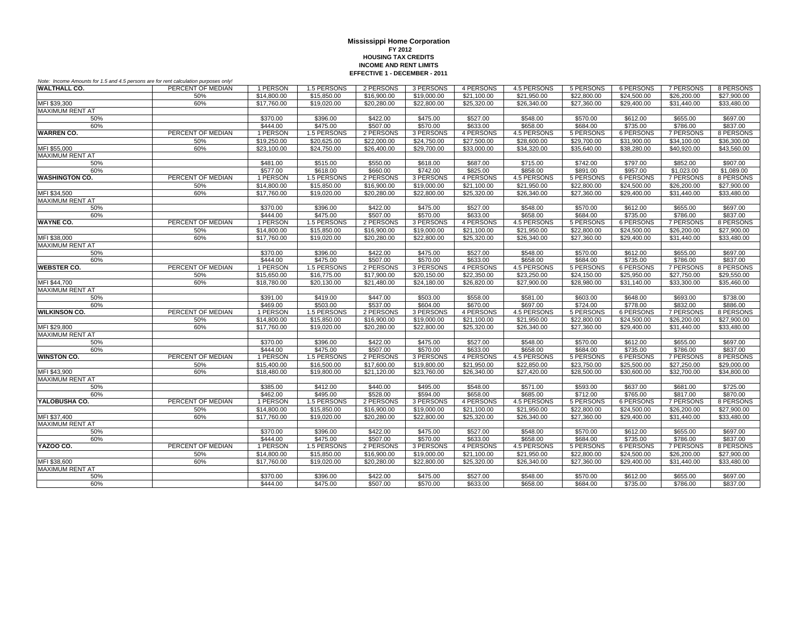| Note: Income Amounts for 1.5 and 4.5 persons are for rent calculation purposes only! |                   |             |             |             |             |             |             |             |             |                  |             |
|--------------------------------------------------------------------------------------|-------------------|-------------|-------------|-------------|-------------|-------------|-------------|-------------|-------------|------------------|-------------|
| <b>WALTHALL CO.</b>                                                                  | PERCENT OF MEDIAN | 1 PERSON    | 1.5 PERSONS | 2 PERSONS   | 3 PERSONS   | 4 PERSONS   | 4.5 PERSONS | 5 PERSONS   | 6 PERSONS   | 7 PERSONS        | 8 PERSONS   |
|                                                                                      | 50%               | \$14,800.00 | \$15,850.00 | \$16,900.00 | \$19,000.00 | \$21,100.00 | \$21,950.00 | \$22,800.00 | \$24,500.00 | \$26,200.00      | \$27,900.00 |
| MFI \$39,300                                                                         | 60%               | \$17,760.00 | \$19,020.00 | \$20,280.00 | \$22,800.00 | \$25,320.00 | \$26,340.00 | \$27,360.00 | \$29,400.00 | \$31,440.00      | \$33,480.00 |
| <b>MAXIMUM RENT AT</b>                                                               |                   |             |             |             |             |             |             |             |             |                  |             |
| 50%                                                                                  |                   | \$370.00    | \$396.00    | \$422.00    | \$475.00    | \$527.00    | \$548.00    | \$570.00    | \$612.00    | \$655.00         | \$697.00    |
| 60%                                                                                  |                   | \$444.00    | \$475.00    | \$507.00    | \$570.00    | \$633.00    | \$658.00    | \$684.00    | \$735.00    | \$786.00         | \$837.00    |
| <b>WARREN CO.</b>                                                                    | PERCENT OF MEDIAN | 1 PERSON    | 1.5 PERSONS | 2 PERSONS   | 3 PERSONS   | 4 PERSONS   | 4.5 PERSONS | 5 PERSONS   | 6 PERSONS   | 7 PERSONS        | 8 PERSONS   |
|                                                                                      | 50%               | \$19,250.00 | \$20,625.00 | \$22,000.00 | \$24,750.00 | \$27,500.00 | \$28,600.00 | \$29,700.00 | \$31,900.00 | \$34,100.00      | \$36,300.00 |
| MFI \$55,000                                                                         | 60%               | \$23,100.00 | \$24,750.00 | \$26,400.00 | \$29,700.00 | \$33,000.00 | \$34,320.00 | \$35,640.00 | \$38,280.00 | \$40,920.00      | \$43,560,00 |
| <b>MAXIMUM RENT AT</b>                                                               |                   |             |             |             |             |             |             |             |             |                  |             |
| 50%                                                                                  |                   | \$481.00    | \$515.00    | \$550.00    | \$618.00    | \$687.00    | \$715.00    | \$742.00    | \$797.00    | \$852.00         | \$907.00    |
| 60%                                                                                  |                   | \$577.00    | \$618.00    | \$660.00    | \$742.00    | \$825.00    | \$858.00    | \$891.00    | \$957.00    | \$1,023.00       | \$1,089.00  |
| <b>WASHINGTON CO.</b>                                                                | PERCENT OF MEDIAN | 1 PERSON    | 1.5 PERSONS | 2 PERSONS   | 3 PERSONS   | 4 PERSONS   | 4.5 PERSONS | 5 PERSONS   | 6 PERSONS   | 7 PERSONS        | 8 PERSONS   |
|                                                                                      | 50%               | \$14,800.00 | \$15,850.00 | \$16,900.00 | \$19,000.00 | \$21,100.00 | \$21,950.00 | \$22,800.00 | \$24,500.00 | \$26,200.00      | \$27,900.00 |
| MFI \$34,500                                                                         | 60%               | \$17,760.00 | \$19,020.00 | \$20,280.00 | \$22,800.00 | \$25,320.00 | \$26,340.00 | \$27,360.00 | \$29,400.00 | \$31,440.00      | \$33,480.00 |
| <b>MAXIMUM RENT AT</b>                                                               |                   |             |             |             |             |             |             |             |             |                  |             |
| 50%                                                                                  |                   | \$370.00    | \$396.00    | \$422.00    | \$475.00    | \$527.00    | \$548.00    | \$570.00    | \$612.00    | \$655.00         | \$697.00    |
| 60%                                                                                  |                   | \$444.00    | \$475.00    | \$507.00    | \$570.00    | \$633.00    | \$658.00    | \$684.00    | \$735.00    | \$786.00         | \$837.00    |
| <b>WAYNE CO.</b>                                                                     | PERCENT OF MEDIAN | 1 PERSON    | 1.5 PERSONS | 2 PERSONS   | 3 PERSONS   | 4 PERSONS   | 4.5 PERSONS | 5 PERSONS   | 6 PERSONS   | 7 PERSONS        | 8 PERSONS   |
|                                                                                      | 50%               | \$14,800.00 | \$15,850.00 | \$16,900.00 | \$19,000.00 | \$21,100.00 | \$21.950.00 | \$22,800.00 | \$24,500.00 | \$26,200.00      | \$27,900.00 |
| MFI \$38,000                                                                         | 60%               | \$17,760.00 | \$19,020.00 | \$20,280.00 | \$22,800.00 | \$25,320.00 | \$26,340.00 | \$27,360.00 | \$29,400.00 | \$31,440.00      | \$33,480.00 |
| <b>MAXIMUM RENT AT</b>                                                               |                   |             |             |             |             |             |             |             |             |                  |             |
| 50%                                                                                  |                   | \$370.00    | \$396.00    | \$422.00    | \$475.00    | \$527.00    | \$548.00    | \$570.00    | \$612.00    | \$655.00         | \$697.00    |
| 60%                                                                                  |                   | \$444.00    | \$475.00    | \$507.00    | \$570.00    | \$633.00    | \$658.00    | \$684.00    | \$735.00    | \$786.00         | \$837.00    |
| <b>WEBSTER CO.</b>                                                                   | PERCENT OF MEDIAN | 1 PERSON    | 1.5 PERSONS | 2 PERSONS   | 3 PERSONS   | 4 PERSONS   | 4.5 PERSONS | 5 PERSONS   | 6 PERSONS   | 7 PERSONS        | 8 PERSONS   |
|                                                                                      | 50%               | \$15,650.00 | \$16,775.00 | \$17,900.00 | \$20,150.00 | \$22,350.00 | \$23,250.00 | \$24,150.00 | \$25,950.00 | \$27,750.00      | \$29,550.00 |
| MFI \$44,700                                                                         | 60%               | \$18,780.00 | \$20,130.00 | \$21,480.00 | \$24,180.00 | \$26,820.00 | \$27,900.00 | \$28,980.00 | \$31,140.00 | \$33,300.00      | \$35,460.00 |
| <b>MAXIMUM RENT AT</b>                                                               |                   |             |             |             |             |             |             |             |             |                  |             |
| 50%                                                                                  |                   | \$391.00    | \$419.00    | \$447.00    | \$503.00    | \$558.00    | \$581.00    | \$603.00    | \$648.00    | \$693.00         | \$738.00    |
| 60%                                                                                  |                   | \$469.00    | \$503.00    | \$537.00    | \$604.00    | \$670.00    | \$697.00    | \$724.00    | \$778.00    | \$832.00         | \$886.00    |
| <b>WILKINSON CO.</b>                                                                 | PERCENT OF MEDIAN | 1 PERSON    | 1.5 PERSONS | 2 PERSONS   | 3 PERSONS   | 4 PERSONS   | 4.5 PERSONS | 5 PERSONS   | 6 PERSONS   | <b>7 PERSONS</b> | 8 PERSONS   |
|                                                                                      | 50%               | \$14,800.00 | \$15,850.00 | \$16,900.00 | \$19,000.00 | \$21,100.00 | \$21,950.00 | \$22,800.00 | \$24,500.00 | \$26,200.00      | \$27,900.00 |
| MFI \$29,800                                                                         | 60%               | \$17,760.00 | \$19,020.00 | \$20,280.00 | \$22,800.00 | \$25,320.00 | \$26,340.00 | \$27,360.00 | \$29,400.00 | \$31,440.00      | \$33,480.00 |
| <b>MAXIMUM RENT AT</b>                                                               |                   |             |             |             |             |             |             |             |             |                  |             |
| 50%                                                                                  |                   | \$370.00    | \$396.00    | \$422.00    | \$475.00    | \$527.00    | \$548.00    | \$570.00    | \$612.00    | \$655.00         | \$697.00    |
| 60%                                                                                  |                   | \$444.00    | \$475.00    | \$507.00    | \$570.00    | \$633.00    | \$658.00    | \$684.00    | \$735.00    | \$786.00         | \$837.00    |
| <b>WINSTON CO.</b>                                                                   | PERCENT OF MEDIAN | 1 PERSON    | 1.5 PERSONS | 2 PERSONS   | 3 PERSONS   | 4 PERSONS   | 4.5 PERSONS | 5 PERSONS   | 6 PERSONS   | <b>7 PERSONS</b> | 8 PERSONS   |
|                                                                                      | 50%               | \$15,400.00 | \$16,500.00 | \$17,600.00 | \$19,800.00 | \$21,950.00 | \$22,850.00 | \$23,750.00 | \$25,500.00 | \$27,250.00      | \$29,000.00 |
| MFI \$43,900                                                                         | 60%               | \$18,480.00 | \$19,800.00 | \$21,120.00 | \$23,760.00 | \$26,340.00 | \$27,420.00 | \$28,500.00 | \$30,600.00 | \$32,700.00      | \$34,800.00 |
| <b>MAXIMUM RENT AT</b>                                                               |                   |             |             |             |             |             |             |             |             |                  |             |
| 50%                                                                                  |                   | \$385.00    | \$412.00    | \$440.00    | \$495.00    | \$548.00    | \$571.00    | \$593.00    | \$637.00    | \$681.00         | \$725.00    |
| 60%                                                                                  |                   | \$462.00    | \$495.00    | \$528.00    | \$594.00    | \$658.00    | \$685.00    | \$712.00    | \$765.00    | \$817.00         | \$870.00    |
| YALOBUSHA CO.                                                                        | PERCENT OF MEDIAN | 1 PERSON    | 1.5 PERSONS | 2 PERSONS   | 3 PERSONS   | 4 PERSONS   | 4.5 PERSONS | 5 PERSONS   | 6 PERSONS   | 7 PERSONS        | 8 PERSONS   |
|                                                                                      | 50%               | \$14,800.00 | \$15,850.00 | \$16,900.00 | \$19,000.00 | \$21,100.00 | \$21,950.00 | \$22,800.00 | \$24,500.00 | \$26,200.00      | \$27,900.00 |
| MFI \$37.400                                                                         | 60%               | \$17,760.00 | \$19,020.00 | \$20,280.00 | \$22,800.00 | \$25,320.00 | \$26,340.00 | \$27,360.00 | \$29,400.00 | \$31,440.00      | \$33,480.00 |
| <b>MAXIMUM RENT AT</b>                                                               |                   |             |             |             |             |             |             |             |             |                  |             |
| 50%                                                                                  |                   | \$370.00    | \$396.00    | \$422.00    | \$475.00    | \$527.00    | \$548.00    | \$570.00    | \$612.00    | \$655.00         | \$697.00    |
| 60%                                                                                  |                   | \$444.00    | \$475.00    | \$507.00    | \$570.00    | \$633.00    | \$658.00    | \$684.00    | \$735.00    | \$786.00         | \$837.00    |
| <b>YAZOO CO.</b>                                                                     | PERCENT OF MEDIAN | 1 PERSON    | 1.5 PERSONS | 2 PERSONS   | 3 PERSONS   | 4 PERSONS   | 4.5 PERSONS | 5 PERSONS   | 6 PERSONS   | 7 PERSONS        | 8 PERSONS   |
|                                                                                      | 50%               | \$14,800.00 | \$15,850.00 | \$16,900.00 | \$19,000.00 | \$21,100.00 | \$21.950.00 | \$22,800.00 | \$24,500.00 | \$26,200.00      | \$27,900.00 |
| MFI \$38,600                                                                         | 60%               | \$17,760.00 | \$19,020.00 | \$20,280.00 | \$22,800.00 | \$25,320.00 | \$26,340.00 | \$27,360.00 | \$29,400.00 | \$31,440.00      | \$33,480.00 |
| <b>MAXIMUM RENT AT</b>                                                               |                   |             |             |             |             |             |             |             |             |                  |             |
| 50%                                                                                  |                   | \$370.00    | \$396.00    | \$422.00    | \$475.00    | \$527.00    | \$548.00    | \$570.00    | \$612.00    | \$655.00         | \$697.00    |
| 60%                                                                                  |                   | \$444.00    | \$475.00    | \$507.00    | \$570.00    | \$633.00    | \$658.00    | \$684.00    | \$735.00    | \$786.00         | \$837.00    |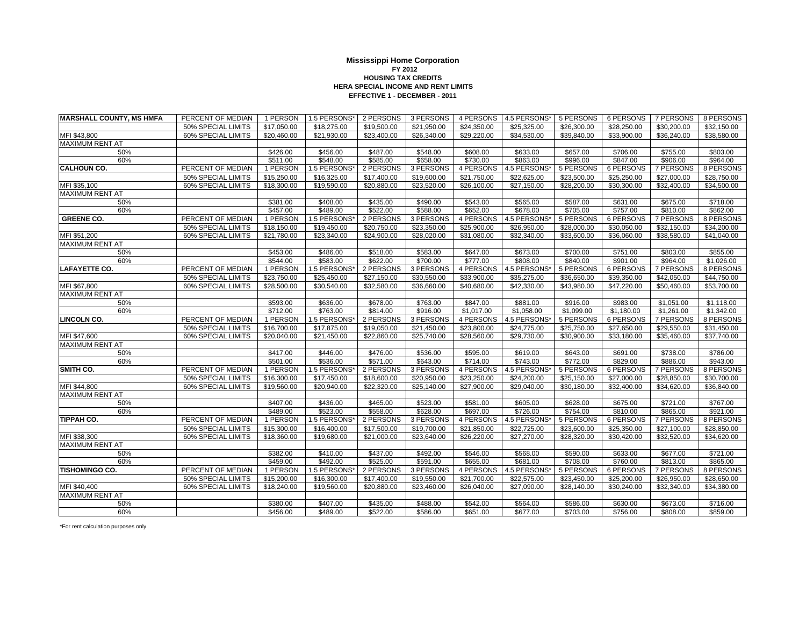### **EFFECTIVE 1 - DECEMBER - 2011Mississippi Home Corporation FY 2012 HOUSING TAX CREDITSHERA SPECIAL INCOME AND RENT LIMITS**

| <b>MARSHALL COUNTY, MS HMFA</b> | PERCENT OF MEDIAN         | 1 PERSON                | 1.5 PERSONS* | 2 PERSONS   | 3 PERSONS               | 4 PERSONS   | 4.5 PERSONS* | 5 PERSONS   | 6 PERSONS   | 7 PERSONS   | 8 PERSONS   |
|---------------------------------|---------------------------|-------------------------|--------------|-------------|-------------------------|-------------|--------------|-------------|-------------|-------------|-------------|
|                                 | 50% SPECIAL LIMITS        | \$17,050.00             | \$18,275.00  | \$19,500.00 | \$21,950.00             | \$24,350.00 | \$25,325.00  | \$26,300.00 | \$28,250.00 | \$30,200.00 | \$32,150.00 |
| MFI \$43,800                    | 60% SPECIAL LIMITS        | \$20,460.00             | \$21,930.00  | \$23,400.00 | \$26,340.00             | \$29,220.00 | \$34,530.00  | \$39,840.00 | \$33,900.00 | \$36,240.00 | \$38,580.00 |
| MAXIMUM RENT AT                 |                           |                         |              |             |                         |             |              |             |             |             |             |
| 50%                             |                           | \$426.00                | \$456.00     | \$487.00    | \$548.00                | \$608.00    | \$633.00     | \$657.00    | \$706.00    | \$755.00    | \$803.00    |
| 60%                             |                           | \$511.00                | \$548.00     | \$585.00    | \$658.00                | \$730.00    | \$863.00     | \$996.00    | \$847.00    | \$906.00    | \$964.00    |
| <b>CALHOUN CO.</b>              | PERCENT OF MEDIAN         | 1 PERSON                | 1.5 PERSONS* | 2 PERSONS   | 3 PERSONS               | 4 PERSONS   | 4.5 PERSONS* | 5 PERSONS   | 6 PERSONS   | 7 PERSONS   | 8 PERSONS   |
|                                 | 50% SPECIAL LIMITS        | \$15,250.00             | \$16,325.00  | \$17,400.00 | \$19,600.00             | \$21,750.00 | \$22,625.00  | \$23,500.00 | \$25,250.00 | \$27,000.00 | \$28,750.00 |
| MFI \$35,100                    | <b>60% SPECIAL LIMITS</b> | \$18,300.00             | \$19,590.00  | \$20,880.00 | \$23,520.00             | \$26,100.00 | \$27,150.00  | \$28,200.00 | \$30,300.00 | \$32,400.00 | \$34,500.00 |
| <b>MAXIMUM RENT AT</b>          |                           |                         |              |             |                         |             |              |             |             |             |             |
| 50%                             |                           | \$381.00                | \$408.00     | \$435.00    | \$490.00                | \$543.00    | \$565.00     | \$587.00    | \$631.00    | \$675.00    | \$718.00    |
| 60%                             |                           | \$457.00                | \$489.00     | \$522.00    | \$588.00                | \$652.00    | \$678.00     | \$705.00    | \$757.00    | \$810.00    | \$862.00    |
| <b>GREENE CO.</b>               | PERCENT OF MEDIAN         | 1 PERSON                | 1.5 PERSONS* | 2 PERSONS   | 3 PERSONS               | 4 PERSONS   | 4.5 PERSONS* | 5 PERSONS   | 6 PERSONS   | 7 PERSONS   | 8 PERSONS   |
|                                 | 50% SPECIAL LIMITS        | \$18,150.00             | \$19,450.00  | \$20,750.00 | \$23,350.00             | \$25,900.00 | \$26,950.00  | \$28,000.00 | \$30,050.00 | \$32,150.00 | \$34,200.00 |
| MFI \$51,200                    | 60% SPECIAL LIMITS        | \$21,780.00             | \$23,340.00  | \$24,900.00 | \$28,020.00             | \$31,080.00 | \$32,340.00  | \$33,600.00 | \$36,060.00 | \$38,580.00 | \$41,040.00 |
| <b>MAXIMUM RENT AT</b>          |                           |                         |              |             |                         |             |              |             |             |             |             |
| 50%                             |                           | \$453.00                | \$486.00     | \$518.00    | \$583.00                | \$647.00    | \$673.00     | \$700.00    | \$751.00    | \$803.00    | \$855.00    |
| 60%                             |                           | \$544.00                | \$583.00     | \$622.00    | \$700.00                | \$777.00    | \$808.00     | \$840.00    | \$901.00    | \$964.00    | \$1,026.00  |
| <b>LAFAYETTE CO.</b>            | PERCENT OF MEDIAN         | 1 PERSON                | 1.5 PERSONS* | 2 PERSONS   | 3 PERSONS               | 4 PERSONS   | 4.5 PERSONS* | 5 PERSONS   | 6 PERSONS   | 7 PERSONS   | 8 PERSONS   |
|                                 | 50% SPECIAL LIMITS        | \$23,750.00             | \$25,450.00  | \$27,150.00 | $\overline{$30,550.00}$ | \$33,900.00 | \$35,275.00  | \$36,650.00 | \$39,350.00 | \$42,050.00 | \$44,750.00 |
| MFI \$67,800                    | <b>60% SPECIAL LIMITS</b> | \$28,500.00             | \$30,540.00  | \$32,580.00 | \$36,660.00             | \$40,680.00 | \$42,330.00  | \$43,980.00 | \$47,220.00 | \$50,460.00 | \$53,700.00 |
| MAXIMUM RENT AT                 |                           |                         |              |             |                         |             |              |             |             |             |             |
| 50%                             |                           | \$593.00                | \$636.00     | \$678.00    | \$763.00                | \$847.00    | \$881.00     | \$916.00    | \$983.00    | \$1,051.00  | \$1,118.00  |
| 60%                             |                           | \$712.00                | \$763.00     | \$814.00    | \$916.00                | \$1,017.00  | \$1,058.00   | \$1,099.00  | \$1,180.00  | \$1,261.00  | \$1,342.00  |
| <b>LINCOLN CO.</b>              | PERCENT OF MEDIAN         | 1 PERSON                | 1.5 PERSONS* | 2 PERSONS   | 3 PERSONS               | 4 PERSONS   | 4.5 PERSONS* | 5 PERSONS   | 6 PERSONS   | 7 PERSONS   | 8 PERSONS   |
|                                 | 50% SPECIAL LIMITS        | \$16,700.00             | \$17,875.00  | \$19,050.00 | \$21,450.00             | \$23,800.00 | \$24,775.00  | \$25,750.00 | \$27,650.00 | \$29,550.00 | \$31,450.00 |
| MFI \$47,600                    | 60% SPECIAL LIMITS        | \$20,040.00             | \$21,450.00  | \$22,860.00 | \$25,740.00             | \$28,560.00 | \$29,730.00  | \$30,900.00 | \$33,180.00 | \$35,460.00 | \$37,740.00 |
| <b>MAXIMUM RENT AT</b>          |                           |                         |              |             |                         |             |              |             |             |             |             |
| 50%                             |                           | \$417.00                | \$446.00     | \$476.00    | \$536.00                | \$595.00    | \$619.00     | \$643.00    | \$691.00    | \$738.00    | \$786.00    |
| 60%                             |                           | \$501.00                | \$536.00     | \$571.00    | \$643.00                | \$714.00    | \$743.00     | \$772.00    | \$829.00    | \$886.00    | \$943.00    |
| SMITH CO.                       | PERCENT OF MEDIAN         | 1 PERSON                | 1.5 PERSONS* | 2 PERSONS   | 3 PERSONS               | 4 PERSONS   | 4.5 PERSONS* | 5 PERSONS   | 6 PERSONS   | 7 PERSONS   | 8 PERSONS   |
|                                 | 50% SPECIAL LIMITS        | \$16,300.00             | \$17,450.00  | \$18,600.00 | \$20,950.00             | \$23,250.00 | \$24,200.00  | \$25,150.00 | \$27,000.00 | \$28,850.00 | \$30,700.00 |
| MFI \$44,800                    | 60% SPECIAL LIMITS        | \$19,560.00             | \$20,940.00  | \$22,320.00 | \$25,140.00             | \$27,900.00 | \$29,040.00  | \$30,180.00 | \$32,400.00 | \$34,620.00 | \$36,840.00 |
| MAXIMUM RENT AT                 |                           |                         |              |             |                         |             |              |             |             |             |             |
| 50%                             |                           | \$407.00                | \$436.00     | \$465.00    | \$523.00                | \$581.00    | \$605.00     | \$628.00    | \$675.00    | \$721.00    | \$767.00    |
| 60%                             |                           | \$489.00                | \$523.00     | \$558.00    | \$628.00                | \$697.00    | \$726.00     | \$754.00    | \$810.00    | \$865.00    | \$921.00    |
| TIPPAH CO.                      | PERCENT OF MEDIAN         | 1 PERSON                | 1.5 PERSONS* | 2 PERSONS   | 3 PERSONS               | 4 PERSONS   | 4.5 PERSONS* | 5 PERSONS   | 6 PERSONS   | 7 PERSONS   | 8 PERSONS   |
|                                 | 50% SPECIAL LIMITS        | \$15,300.00             | \$16,400.00  | \$17,500.00 | \$19,700.00             | \$21,850.00 | \$22,725.00  | \$23,600.00 | \$25,350.00 | \$27,100.00 | \$28,850.00 |
| MFI \$38,300                    | 60% SPECIAL LIMITS        | \$18,360.00             | \$19,680.00  | \$21,000.00 | \$23,640.00             | \$26,220.00 | \$27,270.00  | \$28,320.00 | \$30,420.00 | \$32,520.00 | \$34,620.00 |
| <b>MAXIMUM RENT AT</b>          |                           |                         |              |             |                         |             |              |             |             |             |             |
| 50%                             |                           | \$382.00                | \$410.00     | \$437.00    | \$492.00                | \$546.00    | \$568.00     | \$590.00    | \$633.00    | \$677.00    | \$721.00    |
| 60%                             |                           | \$459.00                | \$492.00     | \$525.00    | \$591.00                | \$655.00    | \$681.00     | \$708.00    | \$760.00    | \$813.00    | \$865.00    |
| <b>TISHOMINGO CO.</b>           | PERCENT OF MEDIAN         | 1 PERSON                | 1.5 PERSONS* | 2 PERSONS   | 3 PERSONS               | 4 PERSONS   | 4.5 PERSONS* | 5 PERSONS   | 6 PERSONS   | 7 PERSONS   | 8 PERSONS   |
|                                 | 50% SPECIAL LIMITS        | \$15,200.00             | \$16,300.00  | \$17,400.00 | \$19,550.00             | \$21,700.00 | \$22,575.00  | \$23,450.00 | \$25,200.00 | \$26,950.00 | \$28,650.00 |
| MFI \$40,400                    | 60% SPECIAL LIMITS        | $\overline{$18,240.00}$ | \$19,560.00  | \$20,880.00 | \$23,460.00             | \$26,040.00 | \$27,090.00  | \$28,140.00 | \$30,240.00 | \$32,340.00 | \$34,380.00 |
| MAXIMUM RENT AT                 |                           |                         |              |             |                         |             |              |             |             |             |             |
| 50%                             |                           | \$380.00                | \$407.00     | \$435.00    | \$488.00                | \$542.00    | \$564.00     | \$586.00    | \$630.00    | \$673.00    | \$716.00    |
| 60%                             |                           | \$456.00                | \$489.00     | \$522.00    | \$586.00                | \$651.00    | \$677.00     | \$703.00    | \$756.00    | \$808.00    | \$859.00    |
|                                 |                           |                         |              |             |                         |             |              |             |             |             |             |

\*For rent calculation purposes only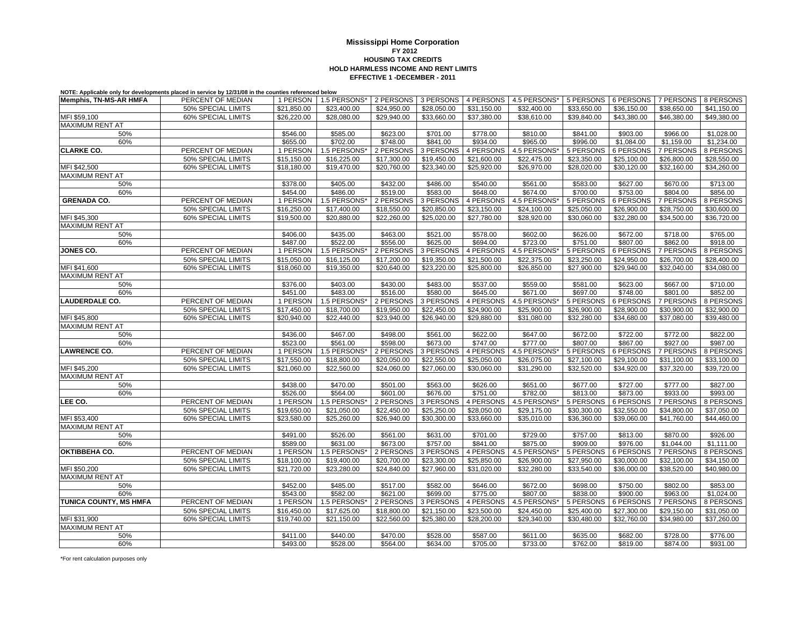## **EFFECTIVE 1 -DECEMBER - 2011Mississippi Home Corporation FY 2012 HOUSING TAX CREDITSHOLD HARMLESS INCOME AND RENT LIMITS**

**NOTE: Applicable only for developments placed in service by 12/31/08 in the counties referenced below**

| <b>Memphis, TN-MS-AR HMFA</b> | PERCENT OF MEDIAN         | 1 PERSON    | 1.5 PERSONS* | 2 PERSONS   | 3 PERSONS   | 4 PERSONS   | 4.5 PERSONS* | 5 PERSONS   | 6 PERSONS   | 7 PERSONS   | 8 PERSONS   |
|-------------------------------|---------------------------|-------------|--------------|-------------|-------------|-------------|--------------|-------------|-------------|-------------|-------------|
|                               | 50% SPECIAL LIMITS        | \$21,850.00 | \$23,400.00  | \$24,950.00 | \$28,050.00 | \$31,150.00 | \$32,400.00  | \$33,650.00 | \$36,150.00 | \$38,650.00 | \$41,150.00 |
| MFI \$59,100                  | 60% SPECIAL LIMITS        | \$26,220.00 | \$28,080.00  | \$29,940.00 | \$33,660.00 | \$37,380.00 | \$38,610.00  | \$39,840.00 | \$43,380.00 | \$46,380.00 | \$49,380.00 |
| <b>MAXIMUM RENT AT</b>        |                           |             |              |             |             |             |              |             |             |             |             |
| 50%                           |                           | \$546.00    | \$585.00     | \$623.00    | \$701.00    | \$778.00    | \$810.00     | \$841.00    | \$903.00    | \$966.00    | \$1,028.00  |
| 60%                           |                           | \$655.00    | \$702.00     | \$748.00    | \$841.00    | \$934.00    | \$965.00     | \$996.00    | \$1,084.00  | \$1,159.00  | \$1,234.00  |
| <b>CLARKE CO.</b>             | PERCENT OF MEDIAN         | 1 PERSON    | 1.5 PERSONS* | 2 PERSONS   | 3 PERSONS   | 4 PERSONS   | 4.5 PERSONS* | 5 PERSONS   | 6 PERSONS   | 7 PERSONS   | 8 PERSONS   |
|                               | 50% SPECIAL LIMITS        | \$15,150.00 | \$16,225.00  | \$17,300.00 | \$19,450.00 | \$21,600.00 | \$22,475.00  | \$23,350.00 | \$25,100.00 | \$26,800.00 | \$28,550.00 |
| MFI \$42,500                  | 60% SPECIAL LIMITS        | \$18,180.00 | \$19,470.00  | \$20,760.00 | \$23,340.00 | \$25,920.00 | \$26,970.00  | \$28,020.00 | \$30,120.00 | \$32,160.00 | \$34,260.00 |
| <b>MAXIMUM RENT AT</b>        |                           |             |              |             |             |             |              |             |             |             |             |
| 50%                           |                           | \$378.00    | \$405.00     | \$432.00    | \$486.00    | \$540.00    | \$561.00     | \$583.00    | \$627.00    | \$670.00    | \$713.00    |
| 60%                           |                           | \$454.00    | \$486.00     | \$519.00    | \$583.00    | \$648.00    | \$674.00     | \$700.00    | \$753.00    | \$804.00    | \$856.00    |
| <b>GRENADA CO.</b>            | PERCENT OF MEDIAN         | 1 PERSON    | 1.5 PERSONS* | 2 PERSONS   | 3 PERSONS   | 4 PERSONS   | 4.5 PERSONS* | 5 PERSONS   | 6 PERSONS   | 7 PERSONS   | 8 PERSONS   |
|                               | 50% SPECIAL LIMITS        | \$16,250.00 | \$17,400.00  | \$18,550.00 | \$20,850.00 | \$23,150.00 | \$24,100.00  | \$25,050.00 | \$26,900.00 | \$28,750.00 | \$30,600.00 |
| MFI \$45,300                  | <b>60% SPECIAL LIMITS</b> | \$19,500.00 | \$20,880.00  | \$22,260.00 | \$25,020.00 | \$27,780.00 | \$28,920.00  | \$30,060.00 | \$32,280.00 | \$34,500.00 | \$36,720.00 |
| MAXIMUM RENT AT               |                           |             |              |             |             |             |              |             |             |             |             |
| 50%                           |                           | \$406.00    | \$435.00     | \$463.00    | \$521.00    | \$578.00    | \$602.00     | \$626.00    | \$672.00    | \$718.00    | \$765.00    |
| 60%                           |                           | \$487.00    | \$522.00     | \$556.00    | \$625.00    | \$694.00    | \$723.00     | \$751.00    | \$807.00    | \$862.00    | \$918.00    |
| JONES CO.                     | PERCENT OF MEDIAN         | 1 PERSON    | 1.5 PERSONS* | 2 PERSONS   | 3 PERSONS   | 4 PERSONS   | 4.5 PERSONS* | 5 PERSONS   | 6 PERSONS   | 7 PERSONS   | 8 PERSONS   |
|                               | 50% SPECIAL LIMITS        | \$15,050.00 | \$16,125.00  | \$17,200.00 | \$19,350.00 | \$21,500.00 | \$22,375.00  | \$23,250.00 | \$24,950.00 | \$26,700.00 | \$28,400.00 |
| MFI \$41,600                  | <b>60% SPECIAL LIMITS</b> | \$18,060.00 | \$19,350.00  | \$20,640.00 | \$23,220.00 | \$25,800.00 | \$26,850.00  | \$27,900.00 | \$29,940.00 | \$32,040.00 | \$34,080.00 |
| MAXIMUM RENT AT               |                           |             |              |             |             |             |              |             |             |             |             |
| 50%                           |                           | \$376.00    | \$403.00     | \$430.00    | \$483.00    | \$537.00    | \$559.00     | \$581.00    | \$623.00    | \$667.00    | \$710.00    |
| 60%                           |                           | \$451.00    | \$483.00     | \$516.00    | \$580.00    | \$645.00    | \$671.00     | \$697.00    | \$748.00    | \$801.00    | \$852.00    |
| <b>LAUDERDALE CO.</b>         | PERCENT OF MEDIAN         | 1 PERSON    | 1.5 PERSONS* | 2 PERSONS   | 3 PERSONS   | 4 PERSONS   | 4.5 PERSONS* | 5 PERSONS   | 6 PERSONS   | 7 PERSONS   | 8 PERSONS   |
|                               | 50% SPECIAL LIMITS        | \$17,450.00 | \$18,700.00  | \$19,950.00 | \$22,450.00 | \$24,900.00 | \$25,900.00  | \$26,900.00 | \$28,900.00 | \$30,900.00 | \$32,900.00 |
| MFI \$45,800                  | <b>60% SPECIAL LIMITS</b> | \$20,940.00 | \$22,440.00  | \$23,940.00 | \$26,940.00 | \$29,880.00 | \$31,080.00  | \$32,280.00 | \$34,680.00 | \$37,080.00 | \$39,480.00 |
| MAXIMUM RENT AT               |                           |             |              |             |             |             |              |             |             |             |             |
| 50%                           |                           | \$436.00    | \$467.00     | \$498.00    | \$561.00    | \$622.00    | \$647.00     | \$672.00    | \$722.00    | \$772.00    | \$822.00    |
| 60%                           |                           | \$523.00    | \$561.00     | \$598.00    | \$673.00    | \$747.00    | \$777.00     | \$807.00    | \$867.00    | \$927.00    | \$987.00    |
| <b>LAWRENCE CO.</b>           | PERCENT OF MEDIAN         | 1 PERSON    | 1.5 PERSONS* | 2 PERSONS   | 3 PERSONS   | 4 PERSONS   | 4.5 PERSONS* | 5 PERSONS   | 6 PERSONS   | 7 PERSONS   | 8 PERSONS   |
|                               | 50% SPECIAL LIMITS        | \$17,550.00 | \$18,800.00  | \$20,050.00 | \$22,550.00 | \$25,050.00 | \$26,075.00  | \$27,100.00 | \$29,100.00 | \$31,100.00 | \$33,100.00 |
| MFI \$45,200                  | <b>60% SPECIAL LIMITS</b> | \$21,060.00 | \$22,560.00  | \$24,060.00 | \$27,060.00 | \$30,060.00 | \$31,290.00  | \$32,520.00 | \$34,920.00 | \$37,320.00 | \$39,720.00 |
| <b>MAXIMUM RENT AT</b>        |                           |             |              |             |             |             |              |             |             |             |             |
| 50%                           |                           | \$438.00    | \$470.00     | \$501.00    | \$563.00    | \$626.00    | \$651.00     | \$677.00    | \$727.00    | \$777.00    | \$827.00    |
| 60%                           |                           | \$526.00    | \$564.00     | \$601.00    | \$676.00    | \$751.00    | \$782.00     | \$813.00    | \$873.00    | \$933.00    | \$993.00    |
| LEE CO.                       | PERCENT OF MEDIAN         | 1 PERSON    | 1.5 PERSONS* | 2 PERSONS   | 3 PERSONS   | 4 PERSONS   | 4.5 PERSONS* | 5 PERSONS   | 6 PERSONS   | 7 PERSONS   | 8 PERSONS   |
|                               | 50% SPECIAL LIMITS        | \$19,650.00 | \$21,050.00  | \$22,450.00 | \$25,250.00 | \$28,050.00 | \$29,175.00  | \$30,300.00 | \$32,550.00 | \$34,800.00 | \$37,050.00 |
| MFI \$53,400                  | <b>60% SPECIAL LIMITS</b> | \$23,580.00 | \$25,260.00  | \$26,940.00 | \$30,300.00 | \$33,660.00 | \$35,010.00  | \$36,360.00 | \$39,060.00 | \$41,760.00 | \$44,460.00 |
| MAXIMUM RENT AT               |                           |             |              |             |             |             |              |             |             |             |             |
| 50%                           |                           | \$491.00    | \$526.00     | \$561.00    | \$631.00    | \$701.00    | \$729.00     | \$757.00    | \$813.00    | \$870.00    | \$926.00    |
| 60%                           |                           | \$589.00    | \$631.00     | \$673.00    | \$757.00    | \$841.00    | \$875.00     | \$909.00    | \$976.00    | \$1.044.00  | \$1.111.00  |
| OKTIBBEHA CO.                 | PERCENT OF MEDIAN         | 1 PERSON    | 1.5 PERSONS* | 2 PERSONS   | 3 PERSONS   | 4 PERSONS   | 4.5 PERSONS* | 5 PERSONS   | 6 PERSONS   | 7 PERSONS   | 8 PERSONS   |
|                               | 50% SPECIAL LIMITS        | \$18,100.00 | \$19,400.00  | \$20,700.00 | \$23,300.00 | \$25,850.00 | \$26,900.00  | \$27,950.00 | \$30,000.00 | \$32,100.00 | \$34,150.00 |
| MFI \$50,200                  | 60% SPECIAL LIMITS        | \$21,720.00 | \$23,280.00  | \$24,840.00 | \$27,960.00 | \$31,020.00 | \$32,280.00  | \$33,540.00 | \$36,000.00 | \$38,520.00 | \$40,980.00 |
| <b>MAXIMUM RENT AT</b>        |                           |             |              |             |             |             |              |             |             |             |             |
| 50%                           |                           | \$452.00    | \$485.00     | \$517.00    | \$582.00    | \$646.00    | \$672.00     | \$698.00    | \$750.00    | \$802.00    | \$853.00    |
| 60%                           |                           | \$543.00    | \$582.00     | \$621.00    | \$699.00    | \$775.00    | \$807.00     | \$838.00    | \$900.00    | \$963.00    | \$1,024.00  |
| TUNICA COUNTY, MS HMFA        | PERCENT OF MEDIAN         | 1 PERSON    | 1.5 PERSONS* | 2 PERSONS   | 3 PERSONS   | 4 PERSONS   | 4.5 PERSONS* | 5 PERSONS   | 6 PERSONS   | 7 PERSONS   | 8 PERSONS   |
|                               | 50% SPECIAL LIMITS        | \$16,450.00 | \$17,625.00  | \$18,800.00 | \$21,150.00 | \$23,500.00 | \$24,450.00  | \$25,400.00 | \$27,300.00 | \$29,150.00 | \$31,050.00 |
| MFI \$31,900                  | 60% SPECIAL LIMITS        | \$19,740.00 | \$21,150.00  | \$22,560.00 | \$25,380.00 | \$28,200.00 | \$29,340.00  | \$30,480.00 | \$32,760.00 | \$34,980.00 | \$37,260.00 |
| <b>MAXIMUM RENT AT</b>        |                           |             |              |             |             |             |              |             |             |             |             |
| 50%                           |                           | \$411.00    | \$440.00     | \$470.00    | \$528.00    | \$587.00    | \$611.00     | \$635.00    | \$682.00    | \$728.00    | \$776.00    |
| 60%                           |                           | \$493.00    | \$528.00     | \$564.00    | \$634.00    | \$705.00    | \$733.00     | \$762.00    | \$819.00    | \$874.00    | \$931.00    |

\*For rent calculation purposes only